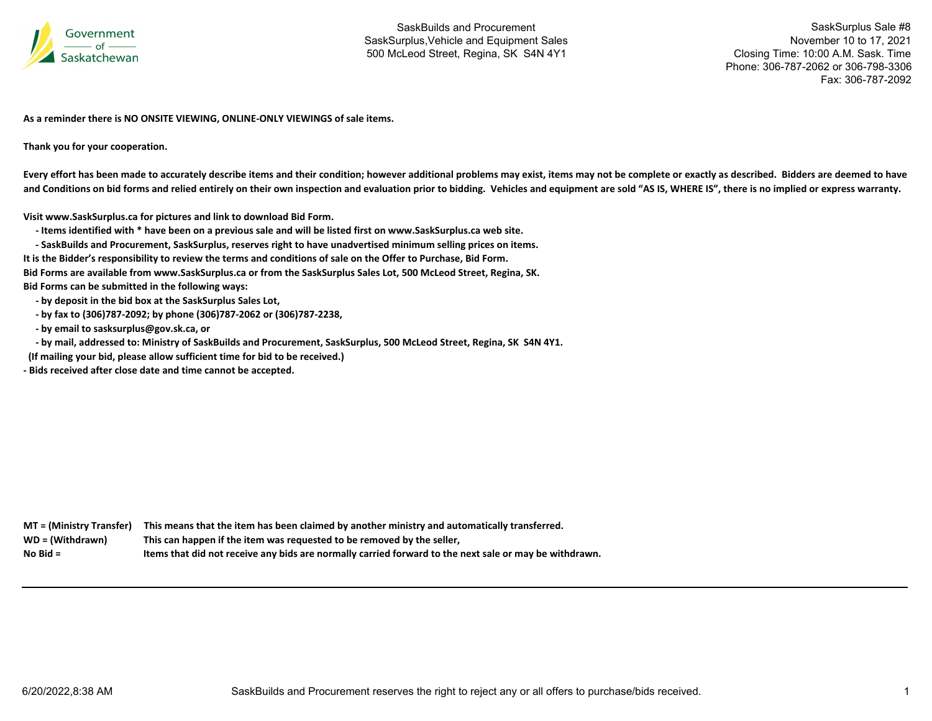

SaskSurplus Sale #8 November 10 to 17, 2021 Closing Time: 10:00 A.M. Sask. Time Phone: 306-787-2062 or 306-798-3306Fax: 306-787-2092

**As a reminder there is NO ONSITE VIEWING, ONLINE‐ONLY VIEWINGS of sale items.**

**Thank you for your cooperation.**

Every effort has been made to accurately describe items and their condition; however additional problems may exist, items may not be complete or exactly as described. Bidders are deemed to have and Conditions on bid forms and relied entirely on their own inspection and evaluation prior to bidding. Vehicles and equipment are sold "AS IS, WHERE IS", there is no implied or express warranty.

**Visit www.SaskSurplus.ca for pictures and link to download Bid Form.**

- Items identified with \* have been on a previous sale and will be listed first on www.SaskSurplus.ca web site.

- SaskBuilds and Procurement, SaskSurplus, reserves right to have unadvertised minimum selling prices on items.

It is the Bidder's responsibility to review the terms and conditions of sale on the Offer to Purchase, Bid Form.

Bid Forms are available from www.SaskSurplus.ca or from the SaskSurplus Sales Lot, 500 McLeod Street, Regina, SK.

**Bid Forms can be submitted in the following ways:**

 **‐ by deposit in the bid box at the SaskSurplus Sales Lot,**

 **‐ by fax to (306)787‐2092; by phone (306)787‐2062 or (306)787‐2238,**

 **‐ by email to sasksurplus@gov.sk.ca, or**

- by mail, addressed to: Ministry of SaskBuilds and Procurement, SaskSurplus, 500 McLeod Street, Regina, SK S4N 4Y1.

**(If mailing your bid, please allow sufficient time for bid to be received.)**

**‐ Bids received after close date and time cannot be accepted.**

MT = (Ministry Transfer) This means that the item has been claimed by another ministry and automatically transferred. WD = (Withdrawn) **<sup>=</sup> (Withdrawn) This can happen if the item was requested to be removed by the seller, No**Items that did not receive any bids are normally carried forward to the next sale or may be withdrawn.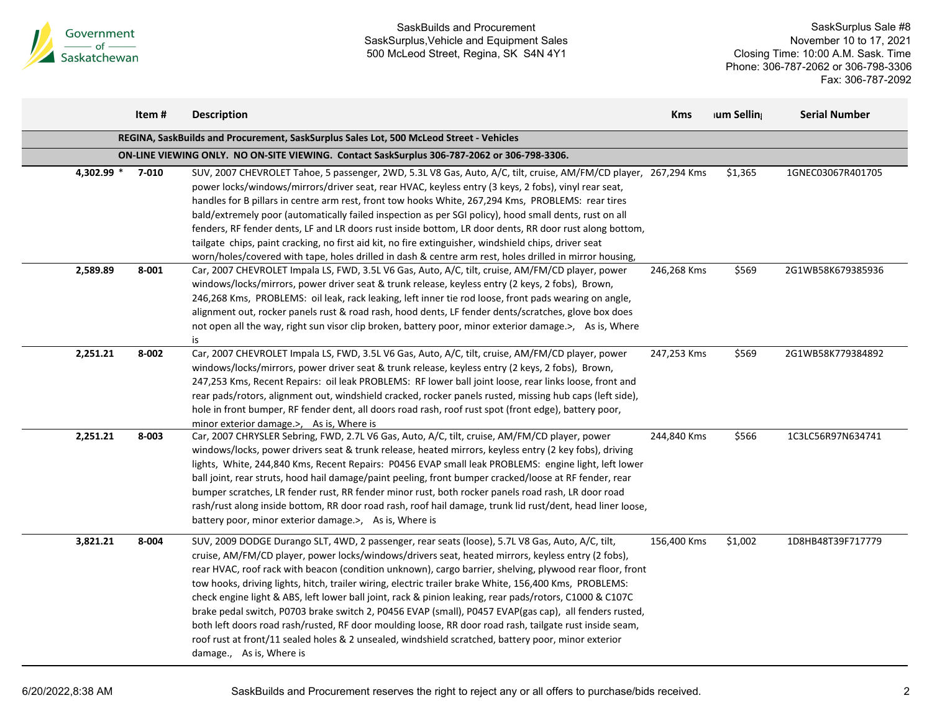

|                                                                                             | Item# | <b>Description</b>                                                                                                                                                                                                                                                                                                                                                                                                                                                                                                                                                                                                                                                                                                                                                                                                                                                                              | <b>Kms</b>  | ium Selling | <b>Serial Number</b> |  |  |  |
|---------------------------------------------------------------------------------------------|-------|-------------------------------------------------------------------------------------------------------------------------------------------------------------------------------------------------------------------------------------------------------------------------------------------------------------------------------------------------------------------------------------------------------------------------------------------------------------------------------------------------------------------------------------------------------------------------------------------------------------------------------------------------------------------------------------------------------------------------------------------------------------------------------------------------------------------------------------------------------------------------------------------------|-------------|-------------|----------------------|--|--|--|
|                                                                                             |       | REGINA, SaskBuilds and Procurement, SaskSurplus Sales Lot, 500 McLeod Street - Vehicles                                                                                                                                                                                                                                                                                                                                                                                                                                                                                                                                                                                                                                                                                                                                                                                                         |             |             |                      |  |  |  |
| ON-LINE VIEWING ONLY. NO ON-SITE VIEWING. Contact SaskSurplus 306-787-2062 or 306-798-3306. |       |                                                                                                                                                                                                                                                                                                                                                                                                                                                                                                                                                                                                                                                                                                                                                                                                                                                                                                 |             |             |                      |  |  |  |
| 4,302.99 *                                                                                  | 7-010 | SUV, 2007 CHEVROLET Tahoe, 5 passenger, 2WD, 5.3L V8 Gas, Auto, A/C, tilt, cruise, AM/FM/CD player, 267,294 Kms<br>power locks/windows/mirrors/driver seat, rear HVAC, keyless entry (3 keys, 2 fobs), vinyl rear seat,<br>handles for B pillars in centre arm rest, front tow hooks White, 267,294 Kms, PROBLEMS: rear tires<br>bald/extremely poor (automatically failed inspection as per SGI policy), hood small dents, rust on all<br>fenders, RF fender dents, LF and LR doors rust inside bottom, LR door dents, RR door rust along bottom,<br>tailgate chips, paint cracking, no first aid kit, no fire extinguisher, windshield chips, driver seat<br>worn/holes/covered with tape, holes drilled in dash & centre arm rest, holes drilled in mirror housing,                                                                                                                          |             | \$1,365     | 1GNEC03067R401705    |  |  |  |
| 2,589.89                                                                                    | 8-001 | Car, 2007 CHEVROLET Impala LS, FWD, 3.5L V6 Gas, Auto, A/C, tilt, cruise, AM/FM/CD player, power<br>windows/locks/mirrors, power driver seat & trunk release, keyless entry (2 keys, 2 fobs), Brown,<br>246,268 Kms, PROBLEMS: oil leak, rack leaking, left inner tie rod loose, front pads wearing on angle,<br>alignment out, rocker panels rust & road rash, hood dents, LF fender dents/scratches, glove box does<br>not open all the way, right sun visor clip broken, battery poor, minor exterior damage.>, As is, Where<br>is                                                                                                                                                                                                                                                                                                                                                           | 246,268 Kms | \$569       | 2G1WB58K679385936    |  |  |  |
| 2,251.21                                                                                    | 8-002 | Car, 2007 CHEVROLET Impala LS, FWD, 3.5L V6 Gas, Auto, A/C, tilt, cruise, AM/FM/CD player, power<br>windows/locks/mirrors, power driver seat & trunk release, keyless entry (2 keys, 2 fobs), Brown,<br>247,253 Kms, Recent Repairs: oil leak PROBLEMS: RF lower ball joint loose, rear links loose, front and<br>rear pads/rotors, alignment out, windshield cracked, rocker panels rusted, missing hub caps (left side),<br>hole in front bumper, RF fender dent, all doors road rash, roof rust spot (front edge), battery poor,<br>minor exterior damage.>, As is, Where is                                                                                                                                                                                                                                                                                                                 | 247,253 Kms | \$569       | 2G1WB58K779384892    |  |  |  |
| 2,251.21                                                                                    | 8-003 | Car, 2007 CHRYSLER Sebring, FWD, 2.7L V6 Gas, Auto, A/C, tilt, cruise, AM/FM/CD player, power<br>windows/locks, power drivers seat & trunk release, heated mirrors, keyless entry (2 key fobs), driving<br>lights, White, 244,840 Kms, Recent Repairs: P0456 EVAP small leak PROBLEMS: engine light, left lower<br>ball joint, rear struts, hood hail damage/paint peeling, front bumper cracked/loose at RF fender, rear<br>bumper scratches, LR fender rust, RR fender minor rust, both rocker panels road rash, LR door road<br>rash/rust along inside bottom, RR door road rash, roof hail damage, trunk lid rust/dent, head liner loose,<br>battery poor, minor exterior damage.>, As is, Where is                                                                                                                                                                                         | 244,840 Kms | \$566       | 1C3LC56R97N634741    |  |  |  |
| 3,821.21                                                                                    | 8-004 | SUV, 2009 DODGE Durango SLT, 4WD, 2 passenger, rear seats (loose), 5.7L V8 Gas, Auto, A/C, tilt,<br>cruise, AM/FM/CD player, power locks/windows/drivers seat, heated mirrors, keyless entry (2 fobs),<br>rear HVAC, roof rack with beacon (condition unknown), cargo barrier, shelving, plywood rear floor, front<br>tow hooks, driving lights, hitch, trailer wiring, electric trailer brake White, 156,400 Kms, PROBLEMS:<br>check engine light & ABS, left lower ball joint, rack & pinion leaking, rear pads/rotors, C1000 & C107C<br>brake pedal switch, P0703 brake switch 2, P0456 EVAP (small), P0457 EVAP(gas cap), all fenders rusted,<br>both left doors road rash/rusted, RF door moulding loose, RR door road rash, tailgate rust inside seam,<br>roof rust at front/11 sealed holes & 2 unsealed, windshield scratched, battery poor, minor exterior<br>damage., As is, Where is | 156,400 Kms | \$1,002     | 1D8HB48T39F717779    |  |  |  |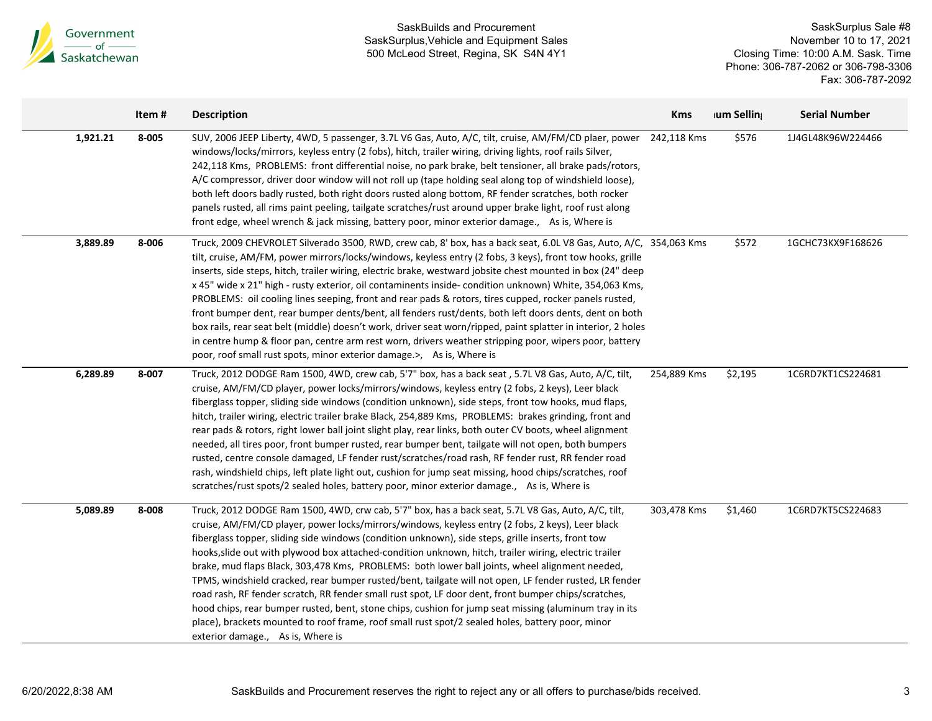

 $\blacksquare$ 

### SaskBuilds and Procurement SaskSurplus,Vehicle and Equipment Sales 500 McLeod Street, Regina, SK S4N 4Y1

SaskSurplus Sale #8 November 10 to 17, 2021 Closing Time: 10:00 A.M. Sask. Time Phone: 306-787-2062 or 306-798-3306 Fax: 306-787-2092

|          | Item# | <b>Description</b>                                                                                                                                                                                                                                                                                                                                                                                                                                                                                                                                                                                                                                                                                                                                                                                                                                                                                                                                                                           | <b>Kms</b>  | ium Selling | <b>Serial Number</b> |
|----------|-------|----------------------------------------------------------------------------------------------------------------------------------------------------------------------------------------------------------------------------------------------------------------------------------------------------------------------------------------------------------------------------------------------------------------------------------------------------------------------------------------------------------------------------------------------------------------------------------------------------------------------------------------------------------------------------------------------------------------------------------------------------------------------------------------------------------------------------------------------------------------------------------------------------------------------------------------------------------------------------------------------|-------------|-------------|----------------------|
| 1,921.21 | 8-005 | SUV, 2006 JEEP Liberty, 4WD, 5 passenger, 3.7L V6 Gas, Auto, A/C, tilt, cruise, AM/FM/CD plaer, power<br>windows/locks/mirrors, keyless entry (2 fobs), hitch, trailer wiring, driving lights, roof rails Silver,<br>242,118 Kms, PROBLEMS: front differential noise, no park brake, belt tensioner, all brake pads/rotors,<br>A/C compressor, driver door window will not roll up (tape holding seal along top of windshield loose),<br>both left doors badly rusted, both right doors rusted along bottom, RF fender scratches, both rocker<br>panels rusted, all rims paint peeling, tailgate scratches/rust around upper brake light, roof rust along<br>front edge, wheel wrench & jack missing, battery poor, minor exterior damage., As is, Where is                                                                                                                                                                                                                                  | 242,118 Kms | \$576       | 1J4GL48K96W224466    |
| 3,889.89 | 8-006 | Truck, 2009 CHEVROLET Silverado 3500, RWD, crew cab, 8' box, has a back seat, 6.0L V8 Gas, Auto, A/C, 354,063 Kms<br>tilt, cruise, AM/FM, power mirrors/locks/windows, keyless entry (2 fobs, 3 keys), front tow hooks, grille<br>inserts, side steps, hitch, trailer wiring, electric brake, westward jobsite chest mounted in box (24" deep<br>x 45" wide x 21" high - rusty exterior, oil contaminents inside- condition unknown) White, 354,063 Kms,<br>PROBLEMS: oil cooling lines seeping, front and rear pads & rotors, tires cupped, rocker panels rusted,<br>front bumper dent, rear bumper dents/bent, all fenders rust/dents, both left doors dents, dent on both<br>box rails, rear seat belt (middle) doesn't work, driver seat worn/ripped, paint splatter in interior, 2 holes<br>in centre hump & floor pan, centre arm rest worn, drivers weather stripping poor, wipers poor, battery<br>poor, roof small rust spots, minor exterior damage.>, As is, Where is             |             | \$572       | 1GCHC73KX9F168626    |
| 6,289.89 | 8-007 | Truck, 2012 DODGE Ram 1500, 4WD, crew cab, 5'7" box, has a back seat, 5.7L V8 Gas, Auto, A/C, tilt,<br>cruise, AM/FM/CD player, power locks/mirrors/windows, keyless entry (2 fobs, 2 keys), Leer black<br>fiberglass topper, sliding side windows (condition unknown), side steps, front tow hooks, mud flaps,<br>hitch, trailer wiring, electric trailer brake Black, 254,889 Kms, PROBLEMS: brakes grinding, front and<br>rear pads & rotors, right lower ball joint slight play, rear links, both outer CV boots, wheel alignment<br>needed, all tires poor, front bumper rusted, rear bumper bent, tailgate will not open, both bumpers<br>rusted, centre console damaged, LF fender rust/scratches/road rash, RF fender rust, RR fender road<br>rash, windshield chips, left plate light out, cushion for jump seat missing, hood chips/scratches, roof<br>scratches/rust spots/2 sealed holes, battery poor, minor exterior damage., As is, Where is                                  | 254,889 Kms | \$2,195     | 1C6RD7KT1CS224681    |
| 5,089.89 | 8-008 | Truck, 2012 DODGE Ram 1500, 4WD, crw cab, 5'7" box, has a back seat, 5.7L V8 Gas, Auto, A/C, tilt,<br>cruise, AM/FM/CD player, power locks/mirrors/windows, keyless entry (2 fobs, 2 keys), Leer black<br>fiberglass topper, sliding side windows (condition unknown), side steps, grille inserts, front tow<br>hooks, slide out with plywood box attached-condition unknown, hitch, trailer wiring, electric trailer<br>brake, mud flaps Black, 303,478 Kms, PROBLEMS: both lower ball joints, wheel alignment needed,<br>TPMS, windshield cracked, rear bumper rusted/bent, tailgate will not open, LF fender rusted, LR fender<br>road rash, RF fender scratch, RR fender small rust spot, LF door dent, front bumper chips/scratches,<br>hood chips, rear bumper rusted, bent, stone chips, cushion for jump seat missing (aluminum tray in its<br>place), brackets mounted to roof frame, roof small rust spot/2 sealed holes, battery poor, minor<br>exterior damage., As is, Where is | 303,478 Kms | \$1,460     | 1C6RD7KT5CS224683    |

 $\overline{\phantom{0}}$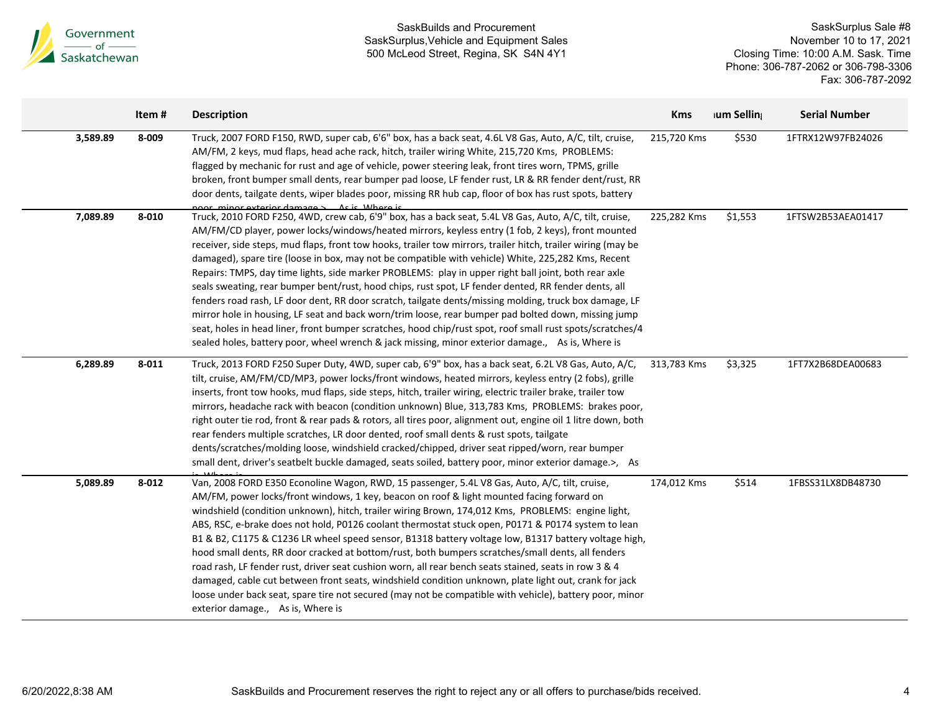

|          | Item#     | <b>Description</b>                                                                                                                                                                                                                                                                                                                                                                                                                                                                                                                                                                                                                                                                                                                                                                                                                                                                                                                                                                                                                                                                  | <b>Kms</b>  | ium Selling | <b>Serial Number</b> |
|----------|-----------|-------------------------------------------------------------------------------------------------------------------------------------------------------------------------------------------------------------------------------------------------------------------------------------------------------------------------------------------------------------------------------------------------------------------------------------------------------------------------------------------------------------------------------------------------------------------------------------------------------------------------------------------------------------------------------------------------------------------------------------------------------------------------------------------------------------------------------------------------------------------------------------------------------------------------------------------------------------------------------------------------------------------------------------------------------------------------------------|-------------|-------------|----------------------|
| 3,589.89 | 8-009     | Truck, 2007 FORD F150, RWD, super cab, 6'6" box, has a back seat, 4.6L V8 Gas, Auto, A/C, tilt, cruise,<br>AM/FM, 2 keys, mud flaps, head ache rack, hitch, trailer wiring White, 215,720 Kms, PROBLEMS:<br>flagged by mechanic for rust and age of vehicle, power steering leak, front tires worn, TPMS, grille<br>broken, front bumper small dents, rear bumper pad loose, LF fender rust, LR & RR fender dent/rust, RR<br>door dents, tailgate dents, wiper blades poor, missing RR hub cap, floor of box has rust spots, battery<br>noor minor exterior damages Acic Where is                                                                                                                                                                                                                                                                                                                                                                                                                                                                                                   | 215,720 Kms | \$530       | 1FTRX12W97FB24026    |
| 7,089.89 | $8 - 010$ | Truck, 2010 FORD F250, 4WD, crew cab, 6'9" box, has a back seat, 5.4L V8 Gas, Auto, A/C, tilt, cruise,<br>AM/FM/CD player, power locks/windows/heated mirrors, keyless entry (1 fob, 2 keys), front mounted<br>receiver, side steps, mud flaps, front tow hooks, trailer tow mirrors, trailer hitch, trailer wiring (may be<br>damaged), spare tire (loose in box, may not be compatible with vehicle) White, 225,282 Kms, Recent<br>Repairs: TMPS, day time lights, side marker PROBLEMS: play in upper right ball joint, both rear axle<br>seals sweating, rear bumper bent/rust, hood chips, rust spot, LF fender dented, RR fender dents, all<br>fenders road rash, LF door dent, RR door scratch, tailgate dents/missing molding, truck box damage, LF<br>mirror hole in housing, LF seat and back worn/trim loose, rear bumper pad bolted down, missing jump<br>seat, holes in head liner, front bumper scratches, hood chip/rust spot, roof small rust spots/scratches/4<br>sealed holes, battery poor, wheel wrench & jack missing, minor exterior damage., As is, Where is | 225,282 Kms | \$1,553     | 1FTSW2B53AEA01417    |
| 6,289.89 | 8-011     | Truck, 2013 FORD F250 Super Duty, 4WD, super cab, 6'9" box, has a back seat, 6.2L V8 Gas, Auto, A/C,<br>tilt, cruise, AM/FM/CD/MP3, power locks/front windows, heated mirrors, keyless entry (2 fobs), grille<br>inserts, front tow hooks, mud flaps, side steps, hitch, trailer wiring, electric trailer brake, trailer tow<br>mirrors, headache rack with beacon (condition unknown) Blue, 313,783 Kms, PROBLEMS: brakes poor,<br>right outer tie rod, front & rear pads & rotors, all tires poor, alignment out, engine oil 1 litre down, both<br>rear fenders multiple scratches, LR door dented, roof small dents & rust spots, tailgate<br>dents/scratches/molding loose, windshield cracked/chipped, driver seat ripped/worn, rear bumper<br>small dent, driver's seatbelt buckle damaged, seats soiled, battery poor, minor exterior damage.>, As                                                                                                                                                                                                                           | 313,783 Kms | \$3,325     | 1FT7X2B68DEA00683    |
| 5,089.89 | $8 - 012$ | Van, 2008 FORD E350 Econoline Wagon, RWD, 15 passenger, 5.4L V8 Gas, Auto, A/C, tilt, cruise,<br>AM/FM, power locks/front windows, 1 key, beacon on roof & light mounted facing forward on<br>windshield (condition unknown), hitch, trailer wiring Brown, 174,012 Kms, PROBLEMS: engine light,<br>ABS, RSC, e-brake does not hold, P0126 coolant thermostat stuck open, P0171 & P0174 system to lean<br>B1 & B2, C1175 & C1236 LR wheel speed sensor, B1318 battery voltage low, B1317 battery voltage high,<br>hood small dents, RR door cracked at bottom/rust, both bumpers scratches/small dents, all fenders<br>road rash, LF fender rust, driver seat cushion worn, all rear bench seats stained, seats in row 3 & 4<br>damaged, cable cut between front seats, windshield condition unknown, plate light out, crank for jack<br>loose under back seat, spare tire not secured (may not be compatible with vehicle), battery poor, minor<br>exterior damage., As is, Where is                                                                                                | 174,012 Kms | \$514       | 1FBSS31LX8DB48730    |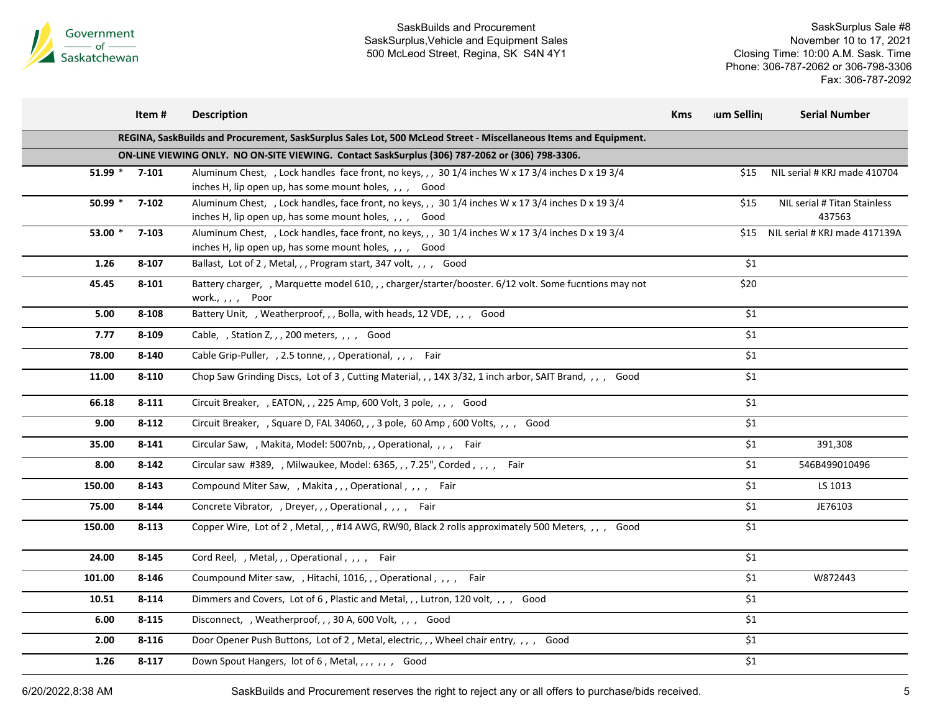

SaskSurplus Sale #8 November 10 to 17, 2021 Closing Time: 10:00 A.M. Sask. Time Phone: 306-787-2062 or 306-798-3306 Fax: 306-787-2092

|                 | Item#                                                                                           | <b>Description</b>                                                                                                                                            | <b>Kms</b> | <b>Ium Selling</b> | <b>Serial Number</b>                   |  |  |  |  |
|-----------------|-------------------------------------------------------------------------------------------------|---------------------------------------------------------------------------------------------------------------------------------------------------------------|------------|--------------------|----------------------------------------|--|--|--|--|
|                 |                                                                                                 | REGINA, SaskBuilds and Procurement, SaskSurplus Sales Lot, 500 McLeod Street - Miscellaneous Items and Equipment.                                             |            |                    |                                        |  |  |  |  |
|                 | ON-LINE VIEWING ONLY. NO ON-SITE VIEWING. Contact SaskSurplus (306) 787-2062 or (306) 798-3306. |                                                                                                                                                               |            |                    |                                        |  |  |  |  |
| $51.99 * 7-101$ |                                                                                                 | Aluminum Chest, , Lock handles face front, no keys, , , 30 1/4 inches W x 17 3/4 inches D x 19 3/4<br>inches H, lip open up, has some mount holes, , , , Good |            | \$15               | NIL serial # KRJ made 410704           |  |  |  |  |
| 50.99 $*$       | $7 - 102$                                                                                       | Aluminum Chest, , Lock handles, face front, no keys, , , 30 1/4 inches W x 17 3/4 inches D x 19 3/4<br>inches H, lip open up, has some mount holes, ,, , Good |            | \$15               | NIL serial # Titan Stainless<br>437563 |  |  |  |  |
| 53.00 *         | 7-103                                                                                           | Aluminum Chest, , Lock handles, face front, no keys, , , 30 1/4 inches W x 17 3/4 inches D x 19 3/4<br>inches H, lip open up, has some mount holes, ,, , Good |            |                    | \$15 NIL serial # KRJ made 417139A     |  |  |  |  |
| 1.26            | 8-107                                                                                           | Ballast, Lot of 2, Metal, , , Program start, 347 volt, , , , Good                                                                                             |            | \$1                |                                        |  |  |  |  |
| 45.45           | 8-101                                                                                           | Battery charger, , Marquette model 610, , , charger/starter/booster. 6/12 volt. Some fucntions may not<br>work., , , , Poor                                   |            | \$20               |                                        |  |  |  |  |
| 5.00            | 8-108                                                                                           | Battery Unit, , Weatherproof, , , Bolla, with heads, 12 VDE, , , , Good                                                                                       |            | \$1                |                                        |  |  |  |  |
| 7.77            | 8-109                                                                                           | Cable, , Station Z, , , 200 meters, , , , Good                                                                                                                |            | \$1                |                                        |  |  |  |  |
| 78.00           | 8-140                                                                                           | Cable Grip-Puller, , 2.5 tonne, , , Operational, , , , Fair                                                                                                   |            | \$1                |                                        |  |  |  |  |
| 11.00           | $8 - 110$                                                                                       | Chop Saw Grinding Discs, Lot of 3, Cutting Material, , , 14X 3/32, 1 inch arbor, SAIT Brand, , , , Good                                                       |            | \$1                |                                        |  |  |  |  |
| 66.18           | $8 - 111$                                                                                       | Circuit Breaker, , EATON, , , 225 Amp, 600 Volt, 3 pole, , , , Good                                                                                           |            | \$1                |                                        |  |  |  |  |
| 9.00            | 8-112                                                                                           | Circuit Breaker, , Square D, FAL 34060, , , 3 pole, 60 Amp , 600 Volts, , , , Good                                                                            |            | \$1                |                                        |  |  |  |  |
| 35.00           | 8-141                                                                                           | Circular Saw, , Makita, Model: 5007nb, , , Operational, , , , Fair                                                                                            |            | \$1                | 391,308                                |  |  |  |  |
| 8.00            | $8 - 142$                                                                                       | Circular saw #389, , Milwaukee, Model: 6365, , , 7.25", Corded, , , , Fair                                                                                    |            | \$1                | 546B499010496                          |  |  |  |  |
| 150.00          | $8 - 143$                                                                                       | Compound Miter Saw, , Makita, , , Operational, , , , Fair                                                                                                     |            | \$1                | LS 1013                                |  |  |  |  |
| 75.00           | 8-144                                                                                           | Concrete Vibrator, , Dreyer, , , Operational, , , , Fair                                                                                                      |            | $$1$$              | JE76103                                |  |  |  |  |
| 150.00          | $8 - 113$                                                                                       | Copper Wire, Lot of 2, Metal, ,, #14 AWG, RW90, Black 2 rolls approximately 500 Meters, ,, , Good                                                             |            | \$1                |                                        |  |  |  |  |
| 24.00           | 8-145                                                                                           | Cord Reel, , Metal, , , Operational , , , , Fair                                                                                                              |            | \$1                |                                        |  |  |  |  |
| 101.00          | $8 - 146$                                                                                       | Coumpound Miter saw, , Hitachi, 1016, , , Operational, , , , Fair                                                                                             |            | \$1                | W872443                                |  |  |  |  |
| 10.51           | 8-114                                                                                           | Dimmers and Covers, Lot of 6, Plastic and Metal, , , Lutron, 120 volt, , , , Good                                                                             |            | \$1                |                                        |  |  |  |  |
| 6.00            | $8 - 115$                                                                                       | Disconnect, , Weatherproof, , , 30 A, 600 Volt, , , , Good                                                                                                    |            | \$1                |                                        |  |  |  |  |
| 2.00            | 8-116                                                                                           | Door Opener Push Buttons, Lot of 2, Metal, electric, ,, Wheel chair entry, ,, , Good                                                                          |            | \$1                |                                        |  |  |  |  |
| 1.26            | $8 - 117$                                                                                       | Down Spout Hangers, lot of 6, Metal, , , , , , , Good                                                                                                         |            | \$1                |                                        |  |  |  |  |
|                 |                                                                                                 |                                                                                                                                                               |            |                    |                                        |  |  |  |  |

6/20/2022,8:38 AM SaskBuilds and Procurement reserves the right to reject any or all offers to purchase/bids received. 5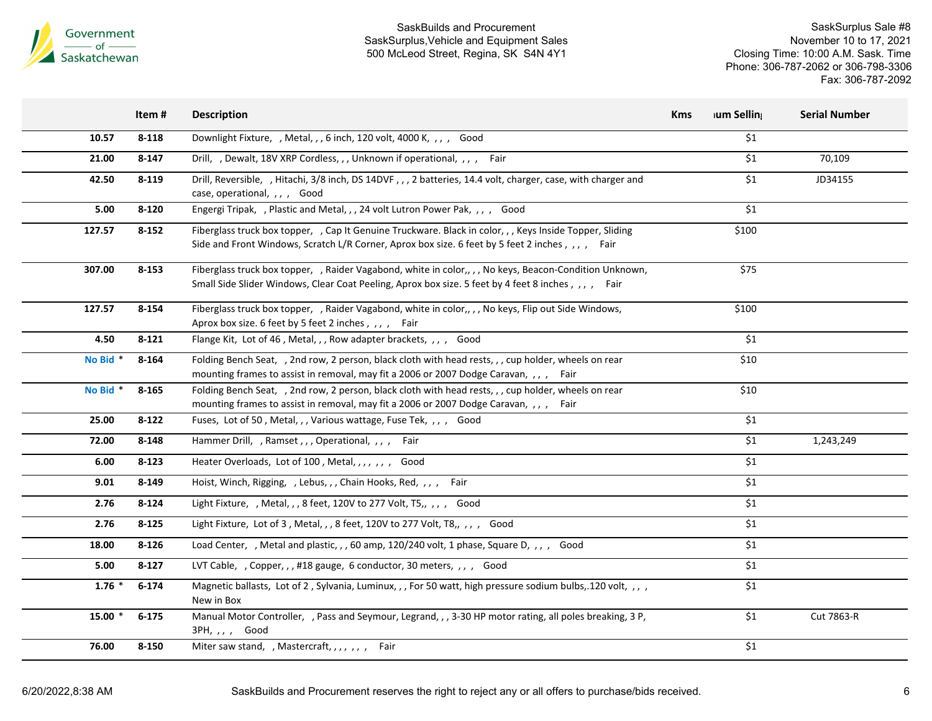

|          | Item#     | <b>Description</b>                                                                                                                                                                                            | <b>Kms</b> | lum Selling   | <b>Serial Number</b> |
|----------|-----------|---------------------------------------------------------------------------------------------------------------------------------------------------------------------------------------------------------------|------------|---------------|----------------------|
| 10.57    | $8 - 118$ | Downlight Fixture, , Metal, , , 6 inch, 120 volt, 4000 K, , , , Good                                                                                                                                          |            | \$1           |                      |
| 21.00    | $8 - 147$ | Drill, , Dewalt, 18V XRP Cordless, , , Unknown if operational, , , , Fair                                                                                                                                     |            | \$1           | 70,109               |
| 42.50    | $8 - 119$ | Drill, Reversible, , Hitachi, 3/8 inch, DS 14DVF, , , 2 batteries, 14.4 volt, charger, case, with charger and<br>case, operational, , , , Good                                                                |            | \$1           | JD34155              |
| 5.00     | $8 - 120$ | Engergi Tripak, , Plastic and Metal, , , 24 volt Lutron Power Pak, , , , Good                                                                                                                                 |            | \$1           |                      |
| 127.57   | $8 - 152$ | Fiberglass truck box topper, , Cap It Genuine Truckware. Black in color, , , Keys Inside Topper, Sliding<br>Side and Front Windows, Scratch L/R Corner, Aprox box size. 6 feet by 5 feet 2 inches, ,,, , Fair |            | \$100         |                      |
| 307.00   | $8 - 153$ | Fiberglass truck box topper, , Raider Vagabond, white in color,, , , No keys, Beacon-Condition Unknown,<br>Small Side Slider Windows, Clear Coat Peeling, Aprox box size. 5 feet by 4 feet 8 inches, ,,, Fair |            | \$75          |                      |
| 127.57   | 8-154     | Fiberglass truck box topper, , Raider Vagabond, white in color,, , , No keys, Flip out Side Windows,<br>Aprox box size. 6 feet by 5 feet 2 inches, , , , Fair                                                 |            | \$100         |                      |
| 4.50     | 8-121     | Flange Kit, Lot of 46, Metal, ,, Row adapter brackets, ,, , Good                                                                                                                                              |            | \$1           |                      |
| No Bid * | 8-164     | Folding Bench Seat, , 2nd row, 2 person, black cloth with head rests, , , cup holder, wheels on rear<br>mounting frames to assist in removal, may fit a 2006 or 2007 Dodge Caravan, ,,, Fair                  |            | \$10          |                      |
| No Bid * | 8-165     | Folding Bench Seat, , 2nd row, 2 person, black cloth with head rests, , , cup holder, wheels on rear<br>mounting frames to assist in removal, may fit a 2006 or 2007 Dodge Caravan, ,,, Fair                  |            | \$10          |                      |
| 25.00    | $8 - 122$ | Fuses, Lot of 50, Metal,,, Various wattage, Fuse Tek,,,, Good                                                                                                                                                 |            | \$1           |                      |
| 72.00    | 8-148     | Hammer Drill, , Ramset, , , Operational, , , , Fair                                                                                                                                                           |            | \$1           | 1,243,249            |
| 6.00     | $8 - 123$ | Heater Overloads, Lot of 100, Metal, , , , , , Good                                                                                                                                                           |            | $\mathsf{S}1$ |                      |
| 9.01     | 8-149     | Hoist, Winch, Rigging, , Lebus, , , Chain Hooks, Red, , , , Fair                                                                                                                                              |            | \$1           |                      |
| 2.76     | $8 - 124$ | Light Fixture, , Metal, , , 8 feet, 120V to 277 Volt, T5,, , , , Good                                                                                                                                         |            | \$1           |                      |
| 2.76     | 8-125     | Light Fixture, Lot of 3, Metal, , , 8 feet, 120V to 277 Volt, T8,, ,, , Good                                                                                                                                  |            | \$1           |                      |
| 18.00    | 8-126     | Load Center, , Metal and plastic, , , 60 amp, 120/240 volt, 1 phase, Square D, , , , Good                                                                                                                     |            | \$1           |                      |
| 5.00     | $8 - 127$ | LVT Cable, , Copper, , , #18 gauge, 6 conductor, 30 meters, , , , Good                                                                                                                                        |            | \$1           |                      |
| $1.76*$  | $6 - 174$ | Magnetic ballasts, Lot of 2, Sylvania, Luminux, ,, For 50 watt, high pressure sodium bulbs, 120 volt, ,, ,<br>New in Box                                                                                      |            | \$1           |                      |
| $15.00*$ | $6 - 175$ | Manual Motor Controller, , Pass and Seymour, Legrand, , , 3-30 HP motor rating, all poles breaking, 3 P,<br>$3PH, , , ,$ Good                                                                                 |            | \$1           | Cut 7863-R           |
| 76.00    | 8-150     | Miter saw stand, , Mastercraft, , , , , , , Fair                                                                                                                                                              |            | \$1           |                      |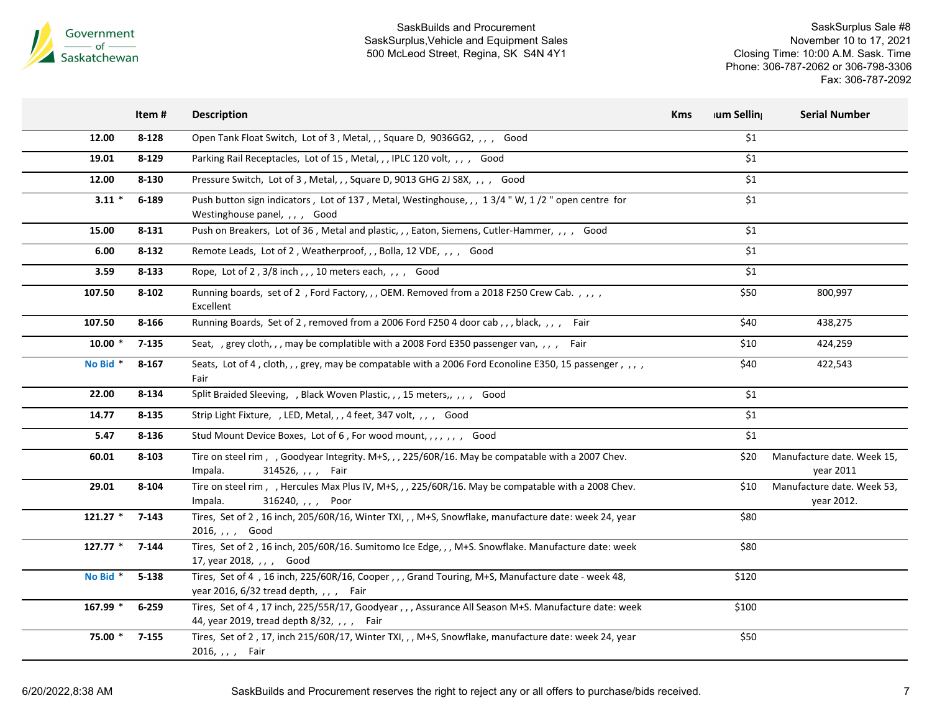

|            | Item#     | <b>Description</b>                                                                                                                              | <b>Kms</b> | ium Selling | <b>Serial Number</b>                     |
|------------|-----------|-------------------------------------------------------------------------------------------------------------------------------------------------|------------|-------------|------------------------------------------|
| 12.00      | $8 - 128$ | Open Tank Float Switch, Lot of 3, Metal, ,, Square D, 9036GG2, ,, , Good                                                                        |            | \$1         |                                          |
| 19.01      | 8-129     | Parking Rail Receptacles, Lot of 15, Metal, ,, IPLC 120 volt, ,, , Good                                                                         |            | \$1         |                                          |
| 12.00      | $8 - 130$ | Pressure Switch, Lot of 3, Metal, ,, Square D, 9013 GHG 2J S8X, ,, , Good                                                                       |            | \$1         |                                          |
| $3.11*$    | $6 - 189$ | Push button sign indicators, Lot of 137, Metal, Westinghouse, ,, 1 3/4 "W, 1/2 " open centre for<br>Westinghouse panel, , , , Good              |            | \$1         |                                          |
| 15.00      | $8 - 131$ | Push on Breakers, Lot of 36, Metal and plastic, , , Eaton, Siemens, Cutler-Hammer, , , , Good                                                   |            | \$1         |                                          |
| 6.00       | $8 - 132$ | Remote Leads, Lot of 2, Weatherproof, , , Bolla, 12 VDE, , , , Good                                                                             |            | \$1         |                                          |
| 3.59       | $8 - 133$ | Rope, Lot of 2, 3/8 inch,,, 10 meters each,,,, Good                                                                                             |            | \$1         |                                          |
| 107.50     | $8 - 102$ | Running boards, set of 2, Ford Factory,,, OEM. Removed from a 2018 F250 Crew Cab.,,,,<br>Excellent                                              |            | \$50        | 800,997                                  |
| 107.50     | 8-166     | Running Boards, Set of 2, removed from a 2006 Ford F250 4 door cab,,, black,,,, Fair                                                            |            | \$40        | 438,275                                  |
| $10.00*$   | $7 - 135$ | Seat, , grey cloth, , , may be complatible with a 2008 Ford E350 passenger van, , , ,<br>Fair                                                   |            | \$10        | 424,259                                  |
| No Bid *   | $8 - 167$ | Seats, Lot of 4, cloth, , , grey, may be compatable with a 2006 Ford Econoline E350, 15 passenger, , , ,<br>Fair                                |            | \$40        | 422,543                                  |
| 22.00      | 8-134     | Split Braided Sleeving, , Black Woven Plastic, , , 15 meters, , , , Good                                                                        |            | \$1         |                                          |
| 14.77      | 8-135     | Strip Light Fixture, , LED, Metal, , , 4 feet, 347 volt, , , , Good                                                                             |            | \$1         |                                          |
| 5.47       | 8-136     | Stud Mount Device Boxes, Lot of 6, For wood mount, , , , , , , Good                                                                             |            | \$1         |                                          |
| 60.01      | $8 - 103$ | Tire on steel rim, , Goodyear Integrity. M+S, , , 225/60R/16. May be compatable with a 2007 Chev.<br>Impala.<br>314526, , , , Fair              |            | \$20        | Manufacture date. Week 15,<br>year 2011  |
| 29.01      | $8 - 104$ | Tire on steel rim, , Hercules Max Plus IV, M+S, , , 225/60R/16. May be compatable with a 2008 Chev.<br>Impala.<br>316240, , , , Poor            |            | \$10        | Manufacture date. Week 53,<br>year 2012. |
| $121.27$ * | $7 - 143$ | Tires, Set of 2, 16 inch, 205/60R/16, Winter TXI, , , M+S, Snowflake, manufacture date: week 24, year<br>2016, , , , Good                       |            | \$80        |                                          |
| $127.77*$  | $7 - 144$ | Tires, Set of 2, 16 inch, 205/60R/16. Sumitomo Ice Edge, , , M+S. Snowflake. Manufacture date: week<br>17, year 2018, , , , Good                |            | \$80        |                                          |
| No Bid *   | $5 - 138$ | Tires, Set of 4, 16 inch, 225/60R/16, Cooper,,, Grand Touring, M+S, Manufacture date - week 48,<br>year 2016, 6/32 tread depth, , , , Fair      |            | \$120       |                                          |
| 167.99 *   | $6 - 259$ | Tires, Set of 4, 17 inch, 225/55R/17, Goodyear,,, Assurance All Season M+S. Manufacture date: week<br>44, year 2019, tread depth 8/32, ,,, Fair |            | \$100       |                                          |
| 75.00 *    | $7 - 155$ | Tires, Set of 2, 17, inch 215/60R/17, Winter TXI, , , M+S, Snowflake, manufacture date: week 24, year<br>2016, , , , Fair                       |            | \$50        |                                          |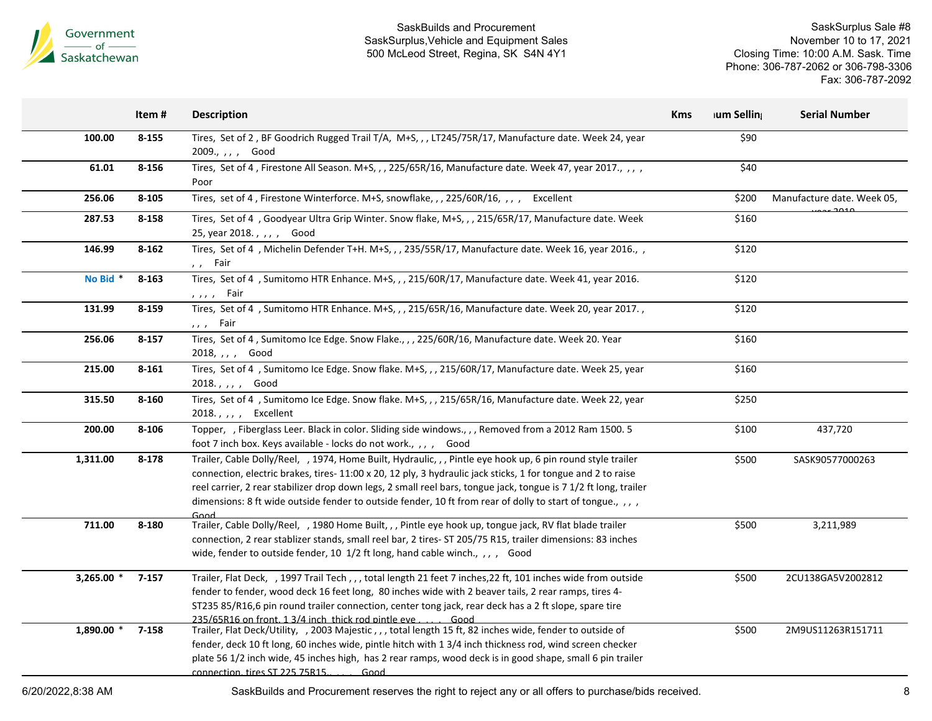

SaskSurplus Sale #8 November 10 to 17, 2021 Closing Time: 10:00 A.M. Sask. Time Phone: 306-787-2062 or 306-798-3306 Fax: 306-787-2092

|              | Item#     | <b>Description</b>                                                                                                                                                                                                                                                                                                                                                                                                                                                    | <b>Kms</b> | ium Selling | <b>Serial Number</b>       |
|--------------|-----------|-----------------------------------------------------------------------------------------------------------------------------------------------------------------------------------------------------------------------------------------------------------------------------------------------------------------------------------------------------------------------------------------------------------------------------------------------------------------------|------------|-------------|----------------------------|
| 100.00       | $8 - 155$ | Tires, Set of 2, BF Goodrich Rugged Trail T/A, M+S,,,LT245/75R/17, Manufacture date. Week 24, year<br>2009., , , , Good                                                                                                                                                                                                                                                                                                                                               |            | \$90        |                            |
| 61.01        | 8-156     | Tires, Set of 4, Firestone All Season. M+S, , , 225/65R/16, Manufacture date. Week 47, year 2017., , , ,<br>Poor                                                                                                                                                                                                                                                                                                                                                      |            | \$40        |                            |
| 256.06       | $8 - 105$ | Tires, set of 4, Firestone Winterforce. M+S, snowflake, ,, 225/60R/16, ,, , Excellent                                                                                                                                                                                                                                                                                                                                                                                 |            | \$200       | Manufacture date. Week 05, |
| 287.53       | 8-158     | Tires, Set of 4, Goodyear Ultra Grip Winter. Snow flake, M+S, , , 215/65R/17, Manufacture date. Week<br>25, year 2018., , , , Good                                                                                                                                                                                                                                                                                                                                    |            | \$160       |                            |
| 146.99       | $8 - 162$ | Tires, Set of 4, Michelin Defender T+H. M+S,,, 235/55R/17, Manufacture date. Week 16, year 2016.,<br>,, Fair                                                                                                                                                                                                                                                                                                                                                          |            | \$120       |                            |
| No Bid *     | $8 - 163$ | Tires, Set of 4 , Sumitomo HTR Enhance. M+S, , , 215/60R/17, Manufacture date. Week 41, year 2016.<br>$, , , ,$ Fair                                                                                                                                                                                                                                                                                                                                                  |            | \$120       |                            |
| 131.99       | $8 - 159$ | Tires, Set of 4 , Sumitomo HTR Enhance. M+S, , , 215/65R/16, Manufacture date. Week 20, year 2017.,<br>$, , ,$ Fair                                                                                                                                                                                                                                                                                                                                                   |            | \$120       |                            |
| 256.06       | $8 - 157$ | Tires, Set of 4, Sumitomo Ice Edge. Snow Flake., , , 225/60R/16, Manufacture date. Week 20. Year<br>2018, , , , Good                                                                                                                                                                                                                                                                                                                                                  |            | \$160       |                            |
| 215.00       | $8 - 161$ | Tires, Set of 4, Sumitomo Ice Edge. Snow flake. M+S,,, 215/60R/17, Manufacture date. Week 25, year<br>2018.,,,, Good                                                                                                                                                                                                                                                                                                                                                  |            | \$160       |                            |
| 315.50       | 8-160     | Tires, Set of 4, Sumitomo Ice Edge. Snow flake. M+S,,, 215/65R/16, Manufacture date. Week 22, year<br>2018., , , , Excellent                                                                                                                                                                                                                                                                                                                                          |            | \$250       |                            |
| 200.00       | $8 - 106$ | Topper, , Fiberglass Leer. Black in color. Sliding side windows., , , Removed from a 2012 Ram 1500. 5<br>foot 7 inch box. Keys available - locks do not work., , , , Good                                                                                                                                                                                                                                                                                             |            | \$100       | 437,720                    |
| 1,311.00     | 8-178     | Trailer, Cable Dolly/Reel, , 1974, Home Built, Hydraulic, , , Pintle eye hook up, 6 pin round style trailer<br>connection, electric brakes, tires-11:00 x 20, 12 ply, 3 hydraulic jack sticks, 1 for tongue and 2 to raise<br>reel carrier, 2 rear stabilizer drop down legs, 2 small reel bars, tongue jack, tongue is 7 1/2 ft long, trailer<br>dimensions: 8 ft wide outside fender to outside fender, 10 ft from rear of dolly to start of tongue., , , ,<br>Good |            | \$500       | SASK90577000263            |
| 711.00       | 8-180     | Trailer, Cable Dolly/Reel, , 1980 Home Built, , , Pintle eye hook up, tongue jack, RV flat blade trailer<br>connection, 2 rear stablizer stands, small reel bar, 2 tires- ST 205/75 R15, trailer dimensions: 83 inches<br>wide, fender to outside fender, 10 1/2 ft long, hand cable winch., ,, , Good                                                                                                                                                                |            | \$500       | 3,211,989                  |
| $3,265.00$ * | 7-157     | Trailer, Flat Deck, , 1997 Trail Tech,,, total length 21 feet 7 inches, 22 ft, 101 inches wide from outside<br>fender to fender, wood deck 16 feet long, 80 inches wide with 2 beaver tails, 2 rear ramps, tires 4-<br>ST235 85/R16,6 pin round trailer connection, center tong jack, rear deck has a 2 ft slope, spare tire<br>235/65R16 on front, 1.3/4 inch, thick rod pintle eve<br>Good                                                                          |            | \$500       | 2CU138GA5V2002812          |
| $1,890.00$ * | 7-158     | Trailer, Flat Deck/Utility, , 2003 Majestic,,, total length 15 ft, 82 inches wide, fender to outside of<br>fender, deck 10 ft long, 60 inches wide, pintle hitch with 1 3/4 inch thickness rod, wind screen checker<br>plate 56 1/2 inch wide, 45 inches high, has 2 rear ramps, wood deck is in good shape, small 6 pin trailer<br>connection, tires ST 225 75R15.<br>Good                                                                                           |            | \$500       | 2M9US11263R151711          |
|              |           |                                                                                                                                                                                                                                                                                                                                                                                                                                                                       |            |             |                            |

6/20/2022,8:38 AM SaskBuilds and Procurement reserves the right to reject any or all offers to purchase/bids received. 8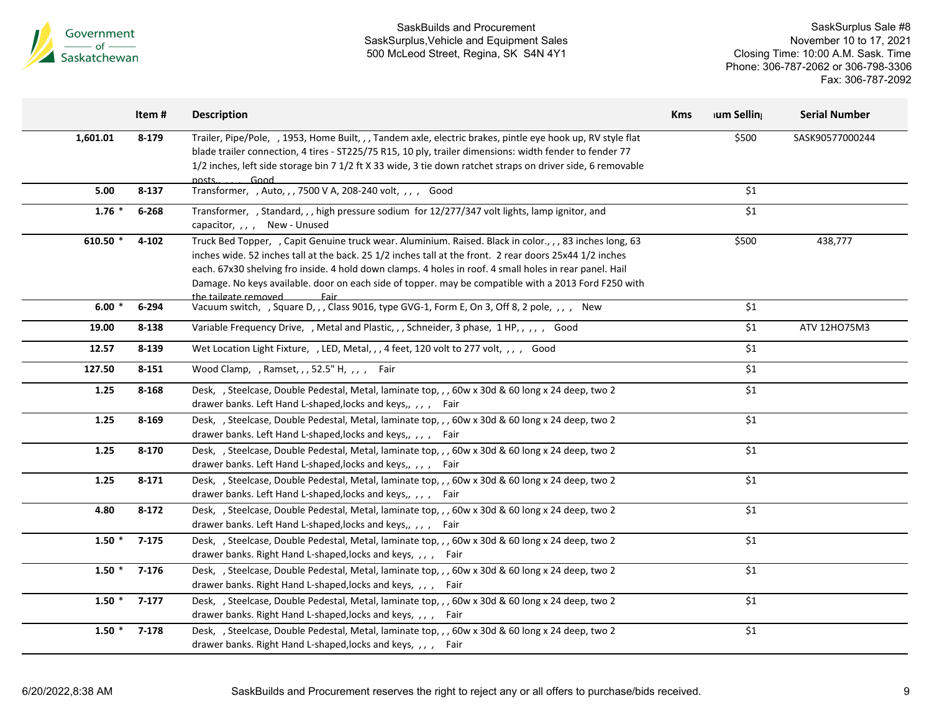

|          | Item#     | <b>Description</b>                                                                                                                                                                                                                                                                                                                                                                                                                                                             | <b>Kms</b> | ium Selling | <b>Serial Number</b> |
|----------|-----------|--------------------------------------------------------------------------------------------------------------------------------------------------------------------------------------------------------------------------------------------------------------------------------------------------------------------------------------------------------------------------------------------------------------------------------------------------------------------------------|------------|-------------|----------------------|
| 1,601.01 | 8-179     | Trailer, Pipe/Pole, , 1953, Home Built, , , Tandem axle, electric brakes, pintle eye hook up, RV style flat<br>blade trailer connection, 4 tires - ST225/75 R15, 10 ply, trailer dimensions: width fender to fender 77<br>1/2 inches, left side storage bin 7 1/2 ft X 33 wide, 3 tie down ratchet straps on driver side, 6 removable<br>posts.<br>Good                                                                                                                        |            | \$500       | SASK90577000244      |
| 5.00     | 8-137     | Transformer, , Auto, , , 7500 V A, 208-240 volt, , , , Good                                                                                                                                                                                                                                                                                                                                                                                                                    |            | \$1         |                      |
| $1.76$ * | 6-268     | Transformer, , Standard, , , high pressure sodium for 12/277/347 volt lights, lamp ignitor, and<br>capacitor, , , , New - Unused                                                                                                                                                                                                                                                                                                                                               |            | \$1         |                      |
| 610.50 * | $4 - 102$ | Truck Bed Topper, , Capit Genuine truck wear. Aluminium. Raised. Black in color., , , 83 inches long, 63<br>inches wide. 52 inches tall at the back. 25 1/2 inches tall at the front. 2 rear doors 25x44 1/2 inches<br>each. 67x30 shelving fro inside. 4 hold down clamps. 4 holes in roof. 4 small holes in rear panel. Hail<br>Damage. No keys available. door on each side of topper. may be compatible with a 2013 Ford F250 with<br><u>the tailgate removed.</u><br>Fair |            | \$500       | 438,777              |
| $6.00*$  | 6-294     | Vacuum switch, , Square D, , , Class 9016, type GVG-1, Form E, On 3, Off 8, 2 pole, , , , New                                                                                                                                                                                                                                                                                                                                                                                  |            | \$1         |                      |
| 19.00    | 8-138     | Variable Frequency Drive, , Metal and Plastic, , , Schneider, 3 phase, 1 HP, , , , , Good                                                                                                                                                                                                                                                                                                                                                                                      |            | \$1         | ATV 12HO75M3         |
| 12.57    | 8-139     | Wet Location Light Fixture, , LED, Metal, , , 4 feet, 120 volt to 277 volt, , , , Good                                                                                                                                                                                                                                                                                                                                                                                         |            | \$1         |                      |
| 127.50   | $8 - 151$ | Wood Clamp, , Ramset, , , 52.5" H, , , , Fair                                                                                                                                                                                                                                                                                                                                                                                                                                  |            | \$1         |                      |
| 1.25     | 8-168     | Desk, , Steelcase, Double Pedestal, Metal, laminate top, , , 60w x 30d & 60 long x 24 deep, two 2<br>drawer banks. Left Hand L-shaped, locks and keys,, ,, , Fair                                                                                                                                                                                                                                                                                                              |            | \$1         |                      |
| 1.25     | 8-169     | Desk, , Steelcase, Double Pedestal, Metal, laminate top, , , 60w x 30d & 60 long x 24 deep, two 2<br>drawer banks. Left Hand L-shaped, locks and keys,, ,, , Fair                                                                                                                                                                                                                                                                                                              |            | \$1         |                      |
| 1.25     | $8 - 170$ | Desk, , Steelcase, Double Pedestal, Metal, laminate top, , , 60w x 30d & 60 long x 24 deep, two 2<br>drawer banks. Left Hand L-shaped, locks and keys,, ,, , Fair                                                                                                                                                                                                                                                                                                              |            | \$1         |                      |
| 1.25     | $8 - 171$ | Desk, , Steelcase, Double Pedestal, Metal, laminate top, , , 60w x 30d & 60 long x 24 deep, two 2<br>drawer banks. Left Hand L-shaped, locks and keys,, ,, , Fair                                                                                                                                                                                                                                                                                                              |            | \$1         |                      |
| 4.80     | $8 - 172$ | Desk, , Steelcase, Double Pedestal, Metal, laminate top, , , 60w x 30d & 60 long x 24 deep, two 2<br>drawer banks. Left Hand L-shaped, locks and keys,, ,, , Fair                                                                                                                                                                                                                                                                                                              |            | \$1         |                      |
| $1.50*$  | 7-175     | Desk, , Steelcase, Double Pedestal, Metal, laminate top, , , 60w x 30d & 60 long x 24 deep, two 2<br>drawer banks. Right Hand L-shaped, locks and keys, ,, , Fair                                                                                                                                                                                                                                                                                                              |            | \$1         |                      |
| $1.50*$  | 7-176     | Desk, , Steelcase, Double Pedestal, Metal, laminate top, , , 60w x 30d & 60 long x 24 deep, two 2<br>drawer banks. Right Hand L-shaped, locks and keys, ,,, , Fair                                                                                                                                                                                                                                                                                                             |            | \$1         |                      |
| $1.50*$  | 7-177     | Desk, , Steelcase, Double Pedestal, Metal, laminate top, , , 60w x 30d & 60 long x 24 deep, two 2<br>drawer banks. Right Hand L-shaped, locks and keys, ,, , Fair                                                                                                                                                                                                                                                                                                              |            | \$1         |                      |
| $1.50*$  | 7-178     | Desk, , Steelcase, Double Pedestal, Metal, laminate top, , , 60w x 30d & 60 long x 24 deep, two 2<br>drawer banks. Right Hand L-shaped, locks and keys, ,, , Fair                                                                                                                                                                                                                                                                                                              |            | \$1         |                      |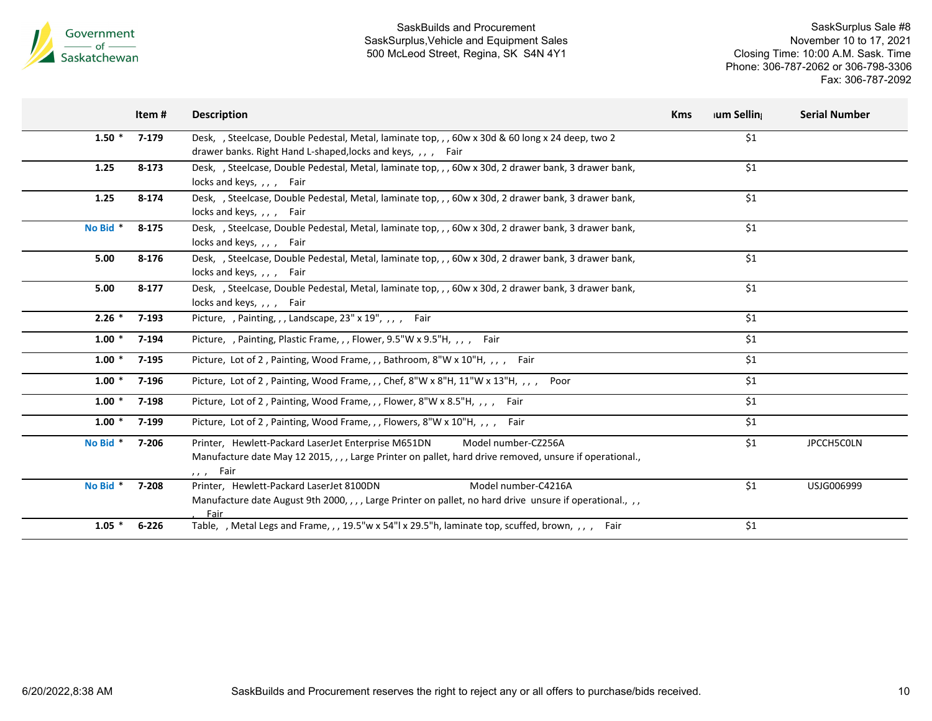

|          | Item #    | <b>Description</b>                                                                                                                                                                                             | <b>Kms</b> | <b>Ium Selling</b> | <b>Serial Number</b> |
|----------|-----------|----------------------------------------------------------------------------------------------------------------------------------------------------------------------------------------------------------------|------------|--------------------|----------------------|
| $1.50*$  | 7-179     | Desk., Steelcase, Double Pedestal, Metal, laminate top., , 60w x 30d & 60 long x 24 deep, two 2<br>drawer banks. Right Hand L-shaped, locks and keys, ,, , Fair                                                |            | \$1                |                      |
| 1.25     | $8 - 173$ | Desk, , Steelcase, Double Pedestal, Metal, laminate top, , , 60w x 30d, 2 drawer bank, 3 drawer bank,<br>locks and keys, , , , Fair                                                                            |            | \$1                |                      |
| 1.25     | 8-174     | Desk, , Steelcase, Double Pedestal, Metal, laminate top, , , 60w x 30d, 2 drawer bank, 3 drawer bank,<br>locks and keys, , , , Fair                                                                            |            | \$1                |                      |
| No Bid * | $8 - 175$ | Desk, , Steelcase, Double Pedestal, Metal, laminate top, , , 60w x 30d, 2 drawer bank, 3 drawer bank,<br>locks and keys, ,, , Fair                                                                             |            | \$1                |                      |
| 5.00     | 8-176     | Desk, , Steelcase, Double Pedestal, Metal, laminate top, , , 60w x 30d, 2 drawer bank, 3 drawer bank,<br>locks and keys, , , , Fair                                                                            |            | \$1                |                      |
| 5.00     | $8 - 177$ | Desk, , Steelcase, Double Pedestal, Metal, laminate top, , , 60w x 30d, 2 drawer bank, 3 drawer bank,<br>locks and keys, , , , Fair                                                                            |            | \$1                |                      |
| $2.26$ * | 7-193     | Picture, , Painting, , , Landscape, 23" x 19", , , , Fair                                                                                                                                                      |            | \$1                |                      |
| $1.00*$  | 7-194     | Picture, , Painting, Plastic Frame, , , Flower, 9.5"W x 9.5"H, , , , Fair                                                                                                                                      |            | \$1                |                      |
| $1.00*$  | 7-195     | Picture, Lot of 2, Painting, Wood Frame, ,, Bathroom, 8"W x 10"H, ,, , Fair                                                                                                                                    |            | \$1                |                      |
| $1.00*$  | 7-196     | Picture, Lot of 2, Painting, Wood Frame, , , Chef, $8''W \times 8''H$ , $11''W \times 13''H$ , , , ,<br>Poor                                                                                                   |            | \$1                |                      |
| $1.00*$  | 7-198     | Picture, Lot of 2, Painting, Wood Frame, , , Flower, 8"W x 8.5"H, , , , Fair                                                                                                                                   |            | \$1                |                      |
| $1.00*$  | 7-199     | Picture, Lot of 2, Painting, Wood Frame, , , Flowers, 8"W x 10"H, , , , Fair                                                                                                                                   |            | \$1                |                      |
| No Bid * | 7-206     | Printer, Hewlett-Packard LaserJet Enterprise M651DN<br>Model number-CZ256A<br>Manufacture date May 12 2015, , , , Large Printer on pallet, hard drive removed, unsure if operational.,<br>Fair<br>$\mathbf{r}$ |            | \$1                | <b>JPCCH5COLN</b>    |
| No Bid * | 7-208     | Model number-C4216A<br>Printer, Hewlett-Packard LaserJet 8100DN<br>Manufacture date August 9th 2000, , , , Large Printer on pallet, no hard drive unsure if operational., , ,<br>Fair                          |            | \$1                | USJG006999           |
| $1.05*$  | $6 - 226$ | Table, , Metal Legs and Frame, , , 19.5"w x 54"l x 29.5"h, laminate top, scuffed, brown, , , , Fair                                                                                                            |            | \$1                |                      |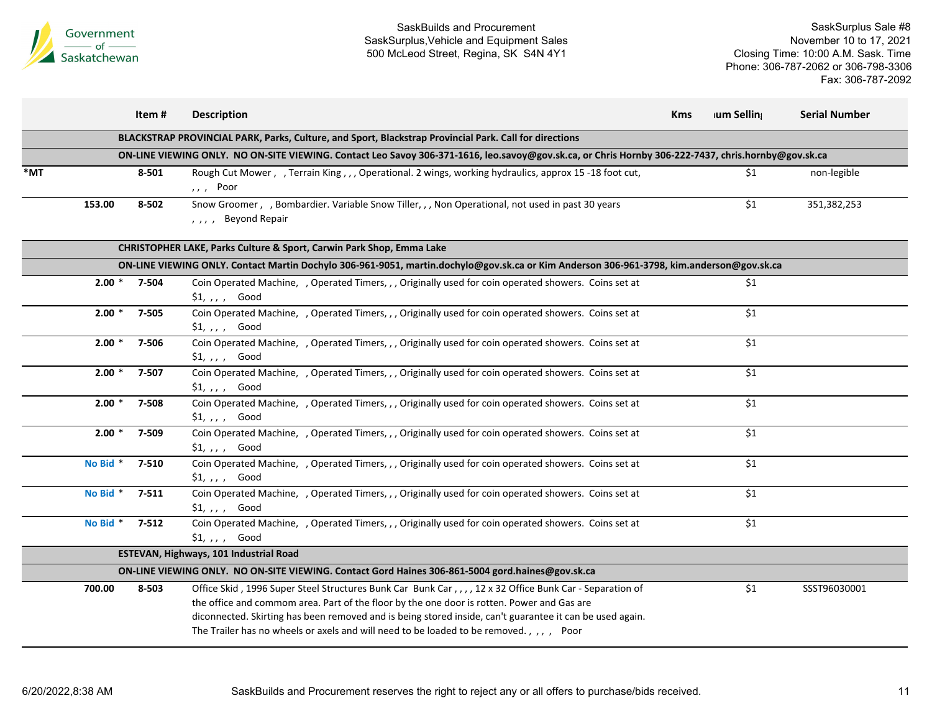

|     |          | Item#            | <b>Description</b>                                                                                                                                                                                                                                                                                                                                                                                         | <b>Kms</b> | ium Selling | <b>Serial Number</b> |
|-----|----------|------------------|------------------------------------------------------------------------------------------------------------------------------------------------------------------------------------------------------------------------------------------------------------------------------------------------------------------------------------------------------------------------------------------------------------|------------|-------------|----------------------|
|     |          |                  | BLACKSTRAP PROVINCIAL PARK, Parks, Culture, and Sport, Blackstrap Provincial Park. Call for directions                                                                                                                                                                                                                                                                                                     |            |             |                      |
|     |          |                  | ON-LINE VIEWING ONLY. NO ON-SITE VIEWING. Contact Leo Savoy 306-371-1616, leo.savoy@gov.sk.ca, or Chris Hornby 306-222-7437, chris.hornby@gov.sk.ca                                                                                                                                                                                                                                                        |            |             |                      |
| *MT |          | 8-501            | Rough Cut Mower, , Terrain King, , , Operational. 2 wings, working hydraulics, approx 15-18 foot cut,<br>,, , Poor                                                                                                                                                                                                                                                                                         |            | \$1         | non-legible          |
|     | 153.00   | 8-502            | Snow Groomer, , Bombardier. Variable Snow Tiller, , , Non Operational, not used in past 30 years<br>Beyond Repair<br>$\overline{\phantom{a}}$                                                                                                                                                                                                                                                              |            | \$1         | 351,382,253          |
|     |          |                  | CHRISTOPHER LAKE, Parks Culture & Sport, Carwin Park Shop, Emma Lake                                                                                                                                                                                                                                                                                                                                       |            |             |                      |
|     |          |                  | ON-LINE VIEWING ONLY. Contact Martin Dochylo 306-961-9051, martin.dochylo@gov.sk.ca or Kim Anderson 306-961-3798, kim.anderson@gov.sk.ca                                                                                                                                                                                                                                                                   |            |             |                      |
|     |          | $2.00 * 7 - 504$ | Coin Operated Machine, , Operated Timers, , , Originally used for coin operated showers. Coins set at<br>$$1, , , ,$ Good                                                                                                                                                                                                                                                                                  |            | \$1         |                      |
|     | $2.00*$  | $7 - 505$        | Coin Operated Machine, , Operated Timers, , , Originally used for coin operated showers. Coins set at<br>$$1, , , ,$ Good                                                                                                                                                                                                                                                                                  |            | \$1         |                      |
|     | $2.00*$  | 7-506            | Coin Operated Machine, , Operated Timers, , , Originally used for coin operated showers. Coins set at<br>$$1, , , ,$ Good                                                                                                                                                                                                                                                                                  |            | \$1         |                      |
|     | $2.00*$  | 7-507            | Coin Operated Machine, , Operated Timers, , , Originally used for coin operated showers. Coins set at<br>$$1, , , ,$ Good                                                                                                                                                                                                                                                                                  |            | \$1         |                      |
|     | $2.00*$  | 7-508            | Coin Operated Machine, , Operated Timers, , , Originally used for coin operated showers. Coins set at<br>$$1, , , ,$ Good                                                                                                                                                                                                                                                                                  |            | \$1         |                      |
|     | $2.00*$  | 7-509            | Coin Operated Machine, , Operated Timers, , , Originally used for coin operated showers. Coins set at<br>$$1, , , ,$ Good                                                                                                                                                                                                                                                                                  |            | \$1         |                      |
|     | No Bid * | 7-510            | Coin Operated Machine, , Operated Timers, , , Originally used for coin operated showers. Coins set at<br>$$1, , , ,$ Good                                                                                                                                                                                                                                                                                  |            | \$1         |                      |
|     | No Bid * | $7 - 511$        | Coin Operated Machine, , Operated Timers, , , Originally used for coin operated showers. Coins set at<br>$$1, , , ,$ Good                                                                                                                                                                                                                                                                                  |            | \$1         |                      |
|     | No Bid * | $7 - 512$        | Coin Operated Machine, , Operated Timers, , , Originally used for coin operated showers. Coins set at<br>$$1, , , ,$ Good                                                                                                                                                                                                                                                                                  |            | \$1         |                      |
|     |          |                  | ESTEVAN, Highways, 101 Industrial Road                                                                                                                                                                                                                                                                                                                                                                     |            |             |                      |
|     |          |                  | ON-LINE VIEWING ONLY. NO ON-SITE VIEWING. Contact Gord Haines 306-861-5004 gord.haines@gov.sk.ca                                                                                                                                                                                                                                                                                                           |            |             |                      |
|     | 700.00   | 8-503            | Office Skid, 1996 Super Steel Structures Bunk Car Bunk Car,,,, 12 x 32 Office Bunk Car - Separation of<br>the office and commom area. Part of the floor by the one door is rotten. Power and Gas are<br>diconnected. Skirting has been removed and is being stored inside, can't guarantee it can be used again.<br>The Trailer has no wheels or axels and will need to be loaded to be removed., ,,, Poor |            | \$1         | SSST96030001         |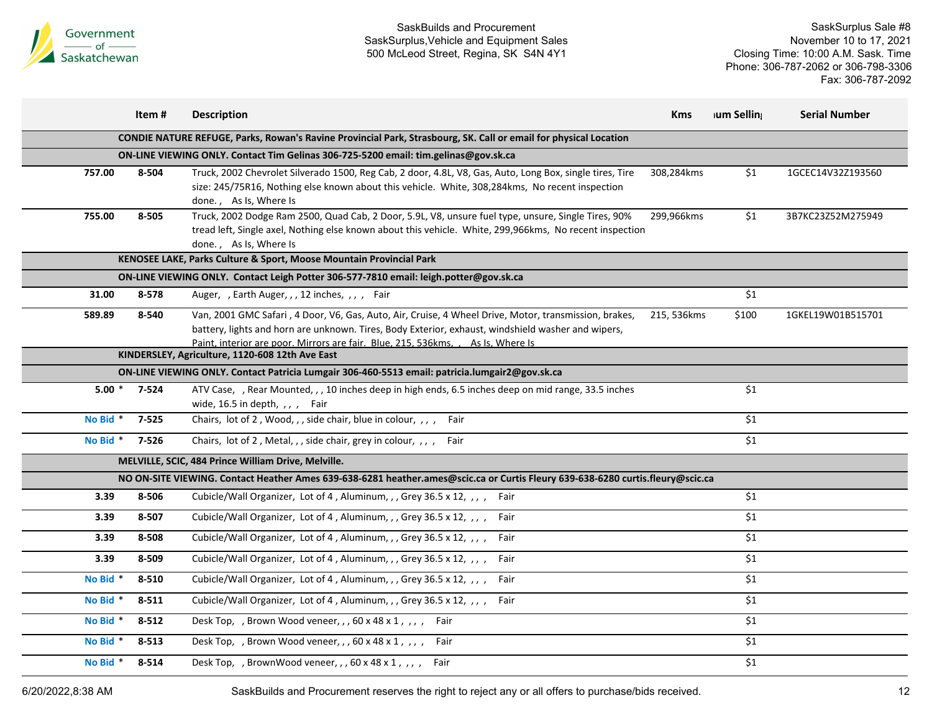

SaskSurplus Sale #8 November 10 to 17, 2021 Closing Time: 10:00 A.M. Sask. Time Phone: 306-787-2062 or 306-798-3306 Fax: 306-787-2092

|                                                                                                                  | Item#                                           | <b>Description</b>                                                                                                                                                                                                                                                                               | <b>Kms</b>  | ium Selling | <b>Serial Number</b> |  |  |  |  |
|------------------------------------------------------------------------------------------------------------------|-------------------------------------------------|--------------------------------------------------------------------------------------------------------------------------------------------------------------------------------------------------------------------------------------------------------------------------------------------------|-------------|-------------|----------------------|--|--|--|--|
| CONDIE NATURE REFUGE, Parks, Rowan's Ravine Provincial Park, Strasbourg, SK. Call or email for physical Location |                                                 |                                                                                                                                                                                                                                                                                                  |             |             |                      |  |  |  |  |
| ON-LINE VIEWING ONLY. Contact Tim Gelinas 306-725-5200 email: tim.gelinas@gov.sk.ca                              |                                                 |                                                                                                                                                                                                                                                                                                  |             |             |                      |  |  |  |  |
| 757.00                                                                                                           | 8-504                                           | Truck, 2002 Chevrolet Silverado 1500, Reg Cab, 2 door, 4.8L, V8, Gas, Auto, Long Box, single tires, Tire<br>size: 245/75R16, Nothing else known about this vehicle. White, 308,284kms, No recent inspection<br>done., As Is, Where Is                                                            | 308,284kms  | \$1         | 1GCEC14V32Z193560    |  |  |  |  |
| 755.00                                                                                                           | 8-505                                           | Truck, 2002 Dodge Ram 2500, Quad Cab, 2 Door, 5.9L, V8, unsure fuel type, unsure, Single Tires, 90%<br>tread left, Single axel, Nothing else known about this vehicle. White, 299,966kms, No recent inspection<br>done., As Is, Where Is                                                         | 299,966kms  | \$1         | 3B7KC23Z52M275949    |  |  |  |  |
|                                                                                                                  |                                                 | KENOSEE LAKE, Parks Culture & Sport, Moose Mountain Provincial Park                                                                                                                                                                                                                              |             |             |                      |  |  |  |  |
|                                                                                                                  |                                                 | ON-LINE VIEWING ONLY. Contact Leigh Potter 306-577-7810 email: leigh.potter@gov.sk.ca                                                                                                                                                                                                            |             |             |                      |  |  |  |  |
| 31.00                                                                                                            | 8-578                                           | Auger, , Earth Auger, , , 12 inches, , , , Fair                                                                                                                                                                                                                                                  |             | \$1         |                      |  |  |  |  |
| 589.89                                                                                                           | 8-540                                           | Van, 2001 GMC Safari, 4 Door, V6, Gas, Auto, Air, Cruise, 4 Wheel Drive, Motor, transmission, brakes,<br>battery, lights and horn are unknown. Tires, Body Exterior, exhaust, windshield washer and wipers,<br>Paint, interior are poor. Mirrors are fair. Blue, 215, 536 kms, , As Is, Where Is | 215, 536kms | \$100       | 1GKEL19W01B515701    |  |  |  |  |
|                                                                                                                  | KINDERSLEY, Agriculture, 1120-608 12th Ave East |                                                                                                                                                                                                                                                                                                  |             |             |                      |  |  |  |  |
|                                                                                                                  |                                                 | ON-LINE VIEWING ONLY. Contact Patricia Lumgair 306-460-5513 email: patricia.lumgair2@gov.sk.ca                                                                                                                                                                                                   |             |             |                      |  |  |  |  |
| $5.00*$                                                                                                          | 7-524                                           | ATV Case, , Rear Mounted, , , 10 inches deep in high ends, 6.5 inches deep on mid range, 33.5 inches<br>wide, $16.5$ in depth, ,, , Fair                                                                                                                                                         |             | \$1         |                      |  |  |  |  |
| No Bid *                                                                                                         | $7 - 525$                                       | Chairs, lot of 2, Wood,,, side chair, blue in colour,,,, Fair                                                                                                                                                                                                                                    |             | \$1         |                      |  |  |  |  |
| No Bid *                                                                                                         | 7-526                                           | Chairs, lot of 2, Metal, , , side chair, grey in colour, , , , Fair                                                                                                                                                                                                                              |             | \$1         |                      |  |  |  |  |
|                                                                                                                  |                                                 | MELVILLE, SCIC, 484 Prince William Drive, Melville.                                                                                                                                                                                                                                              |             |             |                      |  |  |  |  |
|                                                                                                                  |                                                 | NO ON-SITE VIEWING. Contact Heather Ames 639-638-6281 heather.ames@scic.ca or Curtis Fleury 639-638-6280 curtis.fleury@scic.ca                                                                                                                                                                   |             |             |                      |  |  |  |  |
| 3.39                                                                                                             | 8-506                                           | Cubicle/Wall Organizer, Lot of 4, Aluminum, , , Grey 36.5 x 12, , , , Fair                                                                                                                                                                                                                       |             | \$1         |                      |  |  |  |  |
| 3.39                                                                                                             | 8-507                                           | Cubicle/Wall Organizer, Lot of 4, Aluminum, , , Grey 36.5 x 12, , , , Fair                                                                                                                                                                                                                       |             | \$1         |                      |  |  |  |  |
| 3.39                                                                                                             | 8-508                                           | Cubicle/Wall Organizer, Lot of 4, Aluminum, , , Grey 36.5 x 12, , , , Fair                                                                                                                                                                                                                       |             | \$1         |                      |  |  |  |  |
| 3.39                                                                                                             | 8-509                                           | Cubicle/Wall Organizer, Lot of 4, Aluminum, , , Grey 36.5 x 12, , , , Fair                                                                                                                                                                                                                       |             | \$1         |                      |  |  |  |  |
| No Bid *                                                                                                         | 8-510                                           | Cubicle/Wall Organizer, Lot of 4, Aluminum, , , Grey 36.5 x 12, , , , Fair                                                                                                                                                                                                                       |             | \$1         |                      |  |  |  |  |
| No Bid*                                                                                                          | 8-511                                           | Cubicle/Wall Organizer, Lot of 4, Aluminum, , , Grey 36.5 x 12, , , , Fair                                                                                                                                                                                                                       |             | \$1         |                      |  |  |  |  |
| No Bid *                                                                                                         | $8 - 512$                                       | Desk Top, , Brown Wood veneer, , , 60 x 48 x 1, , , , Fair                                                                                                                                                                                                                                       |             | \$1         |                      |  |  |  |  |
| No Bid <sup>*</sup>                                                                                              | 8-513                                           | Desk Top, , Brown Wood veneer, , , 60 x 48 x 1, , , , Fair                                                                                                                                                                                                                                       |             | \$1         |                      |  |  |  |  |
| No Bid *                                                                                                         | 8-514                                           | Desk Top, , BrownWood veneer, , , 60 x 48 x 1, , , , Fair                                                                                                                                                                                                                                        |             | \$1         |                      |  |  |  |  |

6/20/2022,8:38 AM SaskBuilds and Procurement reserves the right to reject any or all offers to purchase/bids received. 12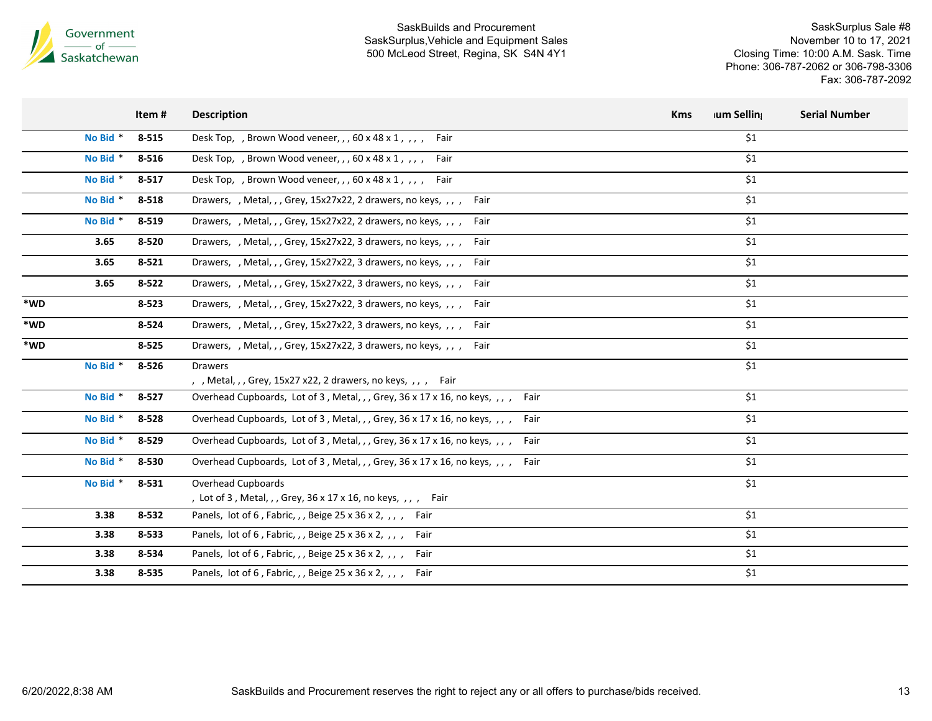

|     |          | Item#     | <b>Description</b>                                                                   | ium Selling<br><b>Kms</b> | <b>Serial Number</b> |
|-----|----------|-----------|--------------------------------------------------------------------------------------|---------------------------|----------------------|
|     | No Bid * | $8 - 515$ | Desk Top, , Brown Wood veneer, , , 60 x 48 x 1, , , ,<br>Fair                        | $$1$$                     |                      |
|     | No Bid * | 8-516     | Desk Top, , Brown Wood veneer, , , 60 x 48 x 1, $\mu$ ,<br>Fair                      | \$1                       |                      |
|     | No Bid * | $8 - 517$ | Desk Top, , Brown Wood veneer, , , 60 x 48 x 1, , , ,<br>Fair                        | \$1                       |                      |
|     | No Bid * | 8-518     | Drawers, , Metal, , , Grey, 15x27x22, 2 drawers, no keys, , , , Fair                 | \$1                       |                      |
|     | No Bid * | 8-519     | Drawers, , Metal, , , Grey, 15x27x22, 2 drawers, no keys, , , , Fair                 | $$1$$                     |                      |
|     | 3.65     | 8-520     | Drawers, , Metal, , , Grey, 15x27x22, 3 drawers, no keys, , , ,<br>Fair              | \$1                       |                      |
|     | 3.65     | $8 - 521$ | Drawers, , Metal, , , Grey, 15x27x22, 3 drawers, no keys, , , , Fair                 | \$1                       |                      |
|     | 3.65     | $8 - 522$ | Drawers, , Metal, , , Grey, 15x27x22, 3 drawers, no keys, , , , Fair                 | \$1                       |                      |
| *WD |          | $8 - 523$ | Drawers, , Metal, , , Grey, 15x27x22, 3 drawers, no keys, , , , Fair                 | \$1                       |                      |
| *WD |          | 8-524     | Drawers, , Metal, , , Grey, 15x27x22, 3 drawers, no keys, , , , Fair                 | \$1                       |                      |
| *WD |          | 8-525     | Drawers, , Metal, , , Grey, 15x27x22, 3 drawers, no keys, , , , Fair                 | \$1                       |                      |
|     | No Bid * | 8-526     | <b>Drawers</b><br>, , Metal, , , Grey, 15x27 x22, 2 drawers, no keys, , , , Fair     | \$1                       |                      |
|     | No Bid * | $8 - 527$ | Overhead Cupboards, Lot of 3, Metal, , , Grey, 36 x 17 x 16, no keys, , , ,<br>Fair  | \$1                       |                      |
|     | No Bid * | 8-528     | Overhead Cupboards, Lot of 3, Metal, , , Grey, 36 x 17 x 16, no keys, , , ,<br>Fair  | \$1                       |                      |
|     | No Bid * | 8-529     | Overhead Cupboards, Lot of 3, Metal, , , Grey, 36 x 17 x 16, no keys, , , ,<br>Fair  | \$1                       |                      |
|     | No Bid * | 8-530     | Overhead Cupboards, Lot of 3, Metal, , , Grey, 36 x 17 x 16, no keys, , , ,<br>Fair  | \$1                       |                      |
|     | No Bid * | 8-531     | Overhead Cupboards<br>, Lot of 3, Metal, , , Grey, 36 x 17 x 16, no keys, , , , Fair | \$1                       |                      |
|     | 3.38     | 8-532     | Panels, lot of 6, Fabric, , , Beige 25 x 36 x 2, , , , Fair                          | \$1                       |                      |
|     | 3.38     | 8-533     | Panels, lot of 6, Fabric, , , Beige 25 x 36 x 2, , , , Fair                          | \$1                       |                      |
|     | 3.38     | 8-534     | Panels, lot of 6, Fabric, , , Beige 25 x 36 x 2, , , , Fair                          | \$1                       |                      |
|     | 3.38     | 8-535     | Panels, lot of 6, Fabric, , , Beige 25 x 36 x 2, , , , Fair                          | \$1                       |                      |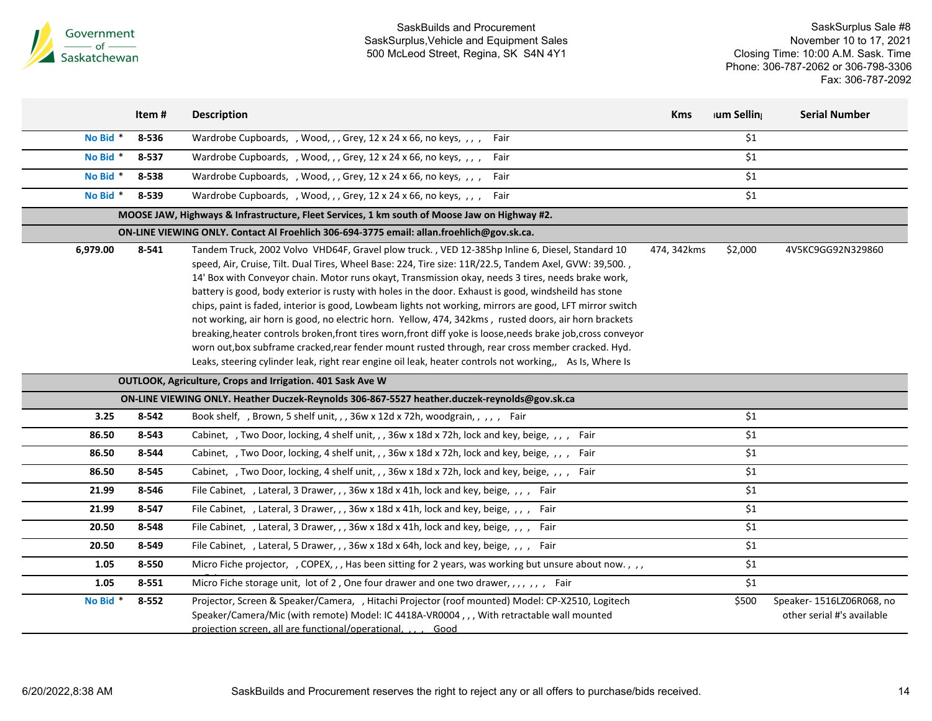

|          | Item#     | <b>Description</b>                                                                                                                                                                                                                                                                                                                                                                                                                                                                                                                                                                                                                                                                                                                                                                                                                                                                                                                                                              | <b>Kms</b>  | <b>Ium Selling</b> | <b>Serial Number</b>                                    |
|----------|-----------|---------------------------------------------------------------------------------------------------------------------------------------------------------------------------------------------------------------------------------------------------------------------------------------------------------------------------------------------------------------------------------------------------------------------------------------------------------------------------------------------------------------------------------------------------------------------------------------------------------------------------------------------------------------------------------------------------------------------------------------------------------------------------------------------------------------------------------------------------------------------------------------------------------------------------------------------------------------------------------|-------------|--------------------|---------------------------------------------------------|
| No Bid * | 8-536     | Wardrobe Cupboards, , Wood, , , Grey, 12 x 24 x 66, no keys, , , , Fair                                                                                                                                                                                                                                                                                                                                                                                                                                                                                                                                                                                                                                                                                                                                                                                                                                                                                                         |             | \$1                |                                                         |
| No Bid * | 8-537     | Wardrobe Cupboards, , Wood, , , Grey, 12 x 24 x 66, no keys, , , , Fair                                                                                                                                                                                                                                                                                                                                                                                                                                                                                                                                                                                                                                                                                                                                                                                                                                                                                                         |             | \$1                |                                                         |
| No Bid * | 8-538     | Wardrobe Cupboards, , Wood, , , Grey, 12 x 24 x 66, no keys, , , , Fair                                                                                                                                                                                                                                                                                                                                                                                                                                                                                                                                                                                                                                                                                                                                                                                                                                                                                                         |             | $\overline{\xi_1}$ |                                                         |
| No Bid * | 8-539     | Wardrobe Cupboards, , Wood, , , Grey, 12 x 24 x 66, no keys, , , , Fair                                                                                                                                                                                                                                                                                                                                                                                                                                                                                                                                                                                                                                                                                                                                                                                                                                                                                                         |             | \$1                |                                                         |
|          |           | MOOSE JAW, Highways & Infrastructure, Fleet Services, 1 km south of Moose Jaw on Highway #2.                                                                                                                                                                                                                                                                                                                                                                                                                                                                                                                                                                                                                                                                                                                                                                                                                                                                                    |             |                    |                                                         |
|          |           | ON-LINE VIEWING ONLY. Contact Al Froehlich 306-694-3775 email: allan.froehlich@gov.sk.ca.                                                                                                                                                                                                                                                                                                                                                                                                                                                                                                                                                                                                                                                                                                                                                                                                                                                                                       |             |                    |                                                         |
| 6,979.00 | 8-541     | Tandem Truck, 2002 Volvo VHD64F, Gravel plow truck., VED 12-385hp Inline 6, Diesel, Standard 10<br>speed, Air, Cruise, Tilt. Dual Tires, Wheel Base: 224, Tire size: 11R/22.5, Tandem Axel, GVW: 39,500.,<br>14' Box with Conveyor chain. Motor runs okayt, Transmission okay, needs 3 tires, needs brake work,<br>battery is good, body exterior is rusty with holes in the door. Exhaust is good, windsheild has stone<br>chips, paint is faded, interior is good, Lowbeam lights not working, mirrors are good, LFT mirror switch<br>not working, air horn is good, no electric horn. Yellow, 474, 342kms, rusted doors, air horn brackets<br>breaking, heater controls broken, front tires worn, front diff yoke is loose, needs brake job, cross conveyor<br>worn out, box subframe cracked, rear fender mount rusted through, rear cross member cracked. Hyd.<br>Leaks, steering cylinder leak, right rear engine oil leak, heater controls not working,, As Is, Where Is | 474, 342kms | \$2,000            | 4V5KC9GG92N329860                                       |
|          |           | <b>OUTLOOK, Agriculture, Crops and Irrigation. 401 Sask Ave W</b>                                                                                                                                                                                                                                                                                                                                                                                                                                                                                                                                                                                                                                                                                                                                                                                                                                                                                                               |             |                    |                                                         |
|          |           | ON-LINE VIEWING ONLY. Heather Duczek-Reynolds 306-867-5527 heather.duczek-reynolds@gov.sk.ca                                                                                                                                                                                                                                                                                                                                                                                                                                                                                                                                                                                                                                                                                                                                                                                                                                                                                    |             |                    |                                                         |
| 3.25     | 8-542     | Book shelf, , Brown, 5 shelf unit, , , 36w x 12d x 72h, woodgrain, , , , , Fair                                                                                                                                                                                                                                                                                                                                                                                                                                                                                                                                                                                                                                                                                                                                                                                                                                                                                                 |             | \$1                |                                                         |
| 86.50    | 8-543     | Cabinet, , Two Door, locking, 4 shelf unit, , , 36w x 18d x 72h, lock and key, beige, , , , Fair                                                                                                                                                                                                                                                                                                                                                                                                                                                                                                                                                                                                                                                                                                                                                                                                                                                                                |             | \$1                |                                                         |
| 86.50    | 8-544     | Cabinet, , Two Door, locking, 4 shelf unit, , , 36w x 18d x 72h, lock and key, beige, , , , Fair                                                                                                                                                                                                                                                                                                                                                                                                                                                                                                                                                                                                                                                                                                                                                                                                                                                                                |             | \$1                |                                                         |
| 86.50    | 8-545     | Cabinet, , Two Door, locking, 4 shelf unit, , , 36w x 18d x 72h, lock and key, beige, , , , Fair                                                                                                                                                                                                                                                                                                                                                                                                                                                                                                                                                                                                                                                                                                                                                                                                                                                                                |             | \$1                |                                                         |
| 21.99    | 8-546     | File Cabinet, , Lateral, 3 Drawer, , , 36w x 18d x 41h, lock and key, beige, , , , Fair                                                                                                                                                                                                                                                                                                                                                                                                                                                                                                                                                                                                                                                                                                                                                                                                                                                                                         |             | \$1                |                                                         |
| 21.99    | 8-547     | File Cabinet, , Lateral, 3 Drawer, , , 36w x 18d x 41h, lock and key, beige, , , , Fair                                                                                                                                                                                                                                                                                                                                                                                                                                                                                                                                                                                                                                                                                                                                                                                                                                                                                         |             | \$1                |                                                         |
| 20.50    | 8-548     | File Cabinet, , Lateral, 3 Drawer, , , 36w x 18d x 41h, lock and key, beige, , , , Fair                                                                                                                                                                                                                                                                                                                                                                                                                                                                                                                                                                                                                                                                                                                                                                                                                                                                                         |             | $\overline{\xi_1}$ |                                                         |
| 20.50    | 8-549     | File Cabinet, , Lateral, 5 Drawer, , , 36w x 18d x 64h, lock and key, beige, , , , Fair                                                                                                                                                                                                                                                                                                                                                                                                                                                                                                                                                                                                                                                                                                                                                                                                                                                                                         |             | \$1                |                                                         |
| 1.05     | 8-550     | Micro Fiche projector, , COPEX, , , Has been sitting for 2 years, was working but unsure about now., , ,                                                                                                                                                                                                                                                                                                                                                                                                                                                                                                                                                                                                                                                                                                                                                                                                                                                                        |             | \$1                |                                                         |
| 1.05     | 8-551     | Micro Fiche storage unit, lot of 2, One four drawer and one two drawer, , , , , , , Fair                                                                                                                                                                                                                                                                                                                                                                                                                                                                                                                                                                                                                                                                                                                                                                                                                                                                                        |             | \$1                |                                                         |
| No Bid * | $8 - 552$ | Projector, Screen & Speaker/Camera, , Hitachi Projector (roof mounted) Model: CP-X2510, Logitech<br>Speaker/Camera/Mic (with remote) Model: IC 4418A-VR0004,,, With retractable wall mounted<br>projection screen, all are functional/operational,<br>Good                                                                                                                                                                                                                                                                                                                                                                                                                                                                                                                                                                                                                                                                                                                      |             | \$500              | Speaker- 1516LZ06R068, no<br>other serial #'s available |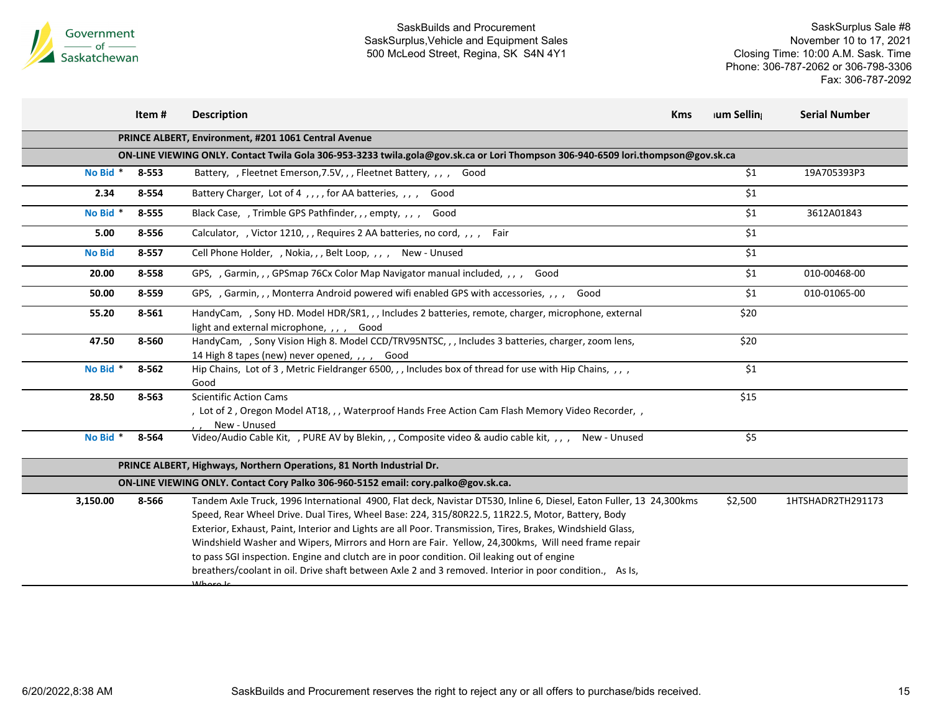

|                                                                                    | Item#                                                                                                                            | <b>Description</b>                                                                                                                                                                                                                                                                                                                                                                                                                                                                                                                                                                                                                                               | <b>Kms</b> | <b>Ium Selling</b> | <b>Serial Number</b> |  |  |
|------------------------------------------------------------------------------------|----------------------------------------------------------------------------------------------------------------------------------|------------------------------------------------------------------------------------------------------------------------------------------------------------------------------------------------------------------------------------------------------------------------------------------------------------------------------------------------------------------------------------------------------------------------------------------------------------------------------------------------------------------------------------------------------------------------------------------------------------------------------------------------------------------|------------|--------------------|----------------------|--|--|
| PRINCE ALBERT, Environment, #201 1061 Central Avenue                               |                                                                                                                                  |                                                                                                                                                                                                                                                                                                                                                                                                                                                                                                                                                                                                                                                                  |            |                    |                      |  |  |
|                                                                                    | ON-LINE VIEWING ONLY. Contact Twila Gola 306-953-3233 twila.gola@gov.sk.ca or Lori Thompson 306-940-6509 lori.thompson@gov.sk.ca |                                                                                                                                                                                                                                                                                                                                                                                                                                                                                                                                                                                                                                                                  |            |                    |                      |  |  |
| No Bid *                                                                           | 8-553                                                                                                                            | Battery, , Fleetnet Emerson, 7.5V, , , Fleetnet Battery, , , , Good                                                                                                                                                                                                                                                                                                                                                                                                                                                                                                                                                                                              |            | \$1                | 19A705393P3          |  |  |
| 2.34                                                                               | 8-554                                                                                                                            | Battery Charger, Lot of 4,,,, for AA batteries,,,, Good                                                                                                                                                                                                                                                                                                                                                                                                                                                                                                                                                                                                          |            | \$1                |                      |  |  |
| No Bid *                                                                           | 8-555                                                                                                                            | Black Case, , Trimble GPS Pathfinder, , , empty, , , ,<br>Good                                                                                                                                                                                                                                                                                                                                                                                                                                                                                                                                                                                                   |            | \$1                | 3612A01843           |  |  |
| 5.00                                                                               | 8-556                                                                                                                            | Calculator, , Victor 1210, , , Requires 2 AA batteries, no cord, , , ,<br>Fair                                                                                                                                                                                                                                                                                                                                                                                                                                                                                                                                                                                   |            | \$1                |                      |  |  |
| <b>No Bid</b>                                                                      | 8-557                                                                                                                            | Cell Phone Holder, , Nokia, , , Belt Loop, , , , New - Unused                                                                                                                                                                                                                                                                                                                                                                                                                                                                                                                                                                                                    |            | \$1                |                      |  |  |
| 20.00                                                                              | 8-558                                                                                                                            | GPS, , Garmin, , , GPSmap 76Cx Color Map Navigator manual included, , , , Good                                                                                                                                                                                                                                                                                                                                                                                                                                                                                                                                                                                   |            | \$1                | 010-00468-00         |  |  |
| 50.00                                                                              | 8-559                                                                                                                            | GPS, , Garmin, , , Monterra Android powered wifi enabled GPS with accessories, , , ,<br>Good                                                                                                                                                                                                                                                                                                                                                                                                                                                                                                                                                                     |            | \$1                | 010-01065-00         |  |  |
| 55.20                                                                              | 8-561                                                                                                                            | HandyCam, , Sony HD. Model HDR/SR1, , , Includes 2 batteries, remote, charger, microphone, external<br>light and external microphone, , , ,<br>Good                                                                                                                                                                                                                                                                                                                                                                                                                                                                                                              |            | \$20               |                      |  |  |
| 47.50                                                                              | 8-560                                                                                                                            | HandyCam, , Sony Vision High 8. Model CCD/TRV95NTSC, , , Includes 3 batteries, charger, zoom lens,<br>14 High 8 tapes (new) never opened, , , , Good                                                                                                                                                                                                                                                                                                                                                                                                                                                                                                             |            | \$20               |                      |  |  |
| No Bid *                                                                           | 8-562                                                                                                                            | Hip Chains, Lot of 3, Metric Fieldranger 6500, , , Includes box of thread for use with Hip Chains, , , ,<br>Good                                                                                                                                                                                                                                                                                                                                                                                                                                                                                                                                                 |            | \$1                |                      |  |  |
| 28.50                                                                              | 8-563                                                                                                                            | <b>Scientific Action Cams</b><br>, Lot of 2, Oregon Model AT18,,, Waterproof Hands Free Action Cam Flash Memory Video Recorder,,<br>New - Unused                                                                                                                                                                                                                                                                                                                                                                                                                                                                                                                 |            | \$15               |                      |  |  |
| No Bid *                                                                           | 8-564                                                                                                                            | Video/Audio Cable Kit, , PURE AV by Blekin, , , Composite video & audio cable kit, , , , New - Unused                                                                                                                                                                                                                                                                                                                                                                                                                                                                                                                                                            |            | \$5                |                      |  |  |
|                                                                                    | PRINCE ALBERT, Highways, Northern Operations, 81 North Industrial Dr.                                                            |                                                                                                                                                                                                                                                                                                                                                                                                                                                                                                                                                                                                                                                                  |            |                    |                      |  |  |
| ON-LINE VIEWING ONLY. Contact Cory Palko 306-960-5152 email: cory.palko@gov.sk.ca. |                                                                                                                                  |                                                                                                                                                                                                                                                                                                                                                                                                                                                                                                                                                                                                                                                                  |            |                    |                      |  |  |
| 3,150.00                                                                           | 8-566                                                                                                                            | Tandem Axle Truck, 1996 International 4900, Flat deck, Navistar DT530, Inline 6, Diesel, Eaton Fuller, 13 24,300kms<br>Speed, Rear Wheel Drive. Dual Tires, Wheel Base: 224, 315/80R22.5, 11R22.5, Motor, Battery, Body<br>Exterior, Exhaust, Paint, Interior and Lights are all Poor. Transmission, Tires, Brakes, Windshield Glass,<br>Windshield Washer and Wipers, Mirrors and Horn are Fair. Yellow, 24,300kms, Will need frame repair<br>to pass SGI inspection. Engine and clutch are in poor condition. Oil leaking out of engine<br>breathers/coolant in oil. Drive shaft between Axle 2 and 3 removed. Interior in poor condition., As Is,<br>Mboro Ic |            | \$2,500            | 1HTSHADR2TH291173    |  |  |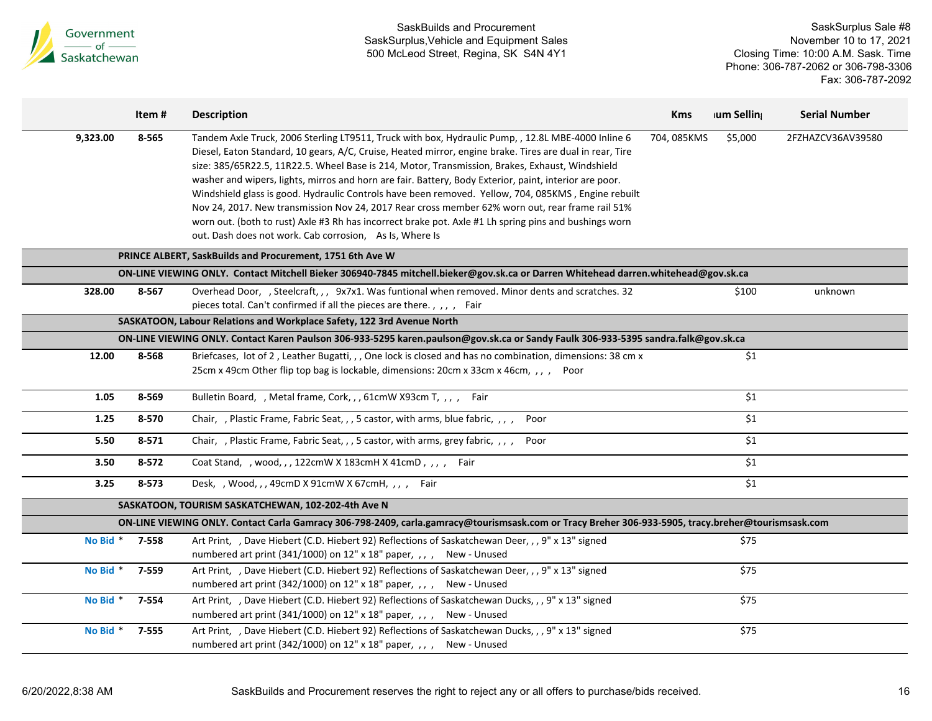

|                                                                                                                                                    | Item#                                              | <b>Description</b>                                                                                                                                                                                                                                                                                                                                                                                                                                                                                                                                                                                                                                                                                                                                                                                        | <b>Kms</b>  | <b>Ium Selling</b> | <b>Serial Number</b> |  |  |
|----------------------------------------------------------------------------------------------------------------------------------------------------|----------------------------------------------------|-----------------------------------------------------------------------------------------------------------------------------------------------------------------------------------------------------------------------------------------------------------------------------------------------------------------------------------------------------------------------------------------------------------------------------------------------------------------------------------------------------------------------------------------------------------------------------------------------------------------------------------------------------------------------------------------------------------------------------------------------------------------------------------------------------------|-------------|--------------------|----------------------|--|--|
| 9,323.00                                                                                                                                           | 8-565                                              | Tandem Axle Truck, 2006 Sterling LT9511, Truck with box, Hydraulic Pump, , 12.8L MBE-4000 Inline 6<br>Diesel, Eaton Standard, 10 gears, A/C, Cruise, Heated mirror, engine brake. Tires are dual in rear, Tire<br>size: 385/65R22.5, 11R22.5. Wheel Base is 214, Motor, Transmission, Brakes, Exhaust, Windshield<br>washer and wipers, lights, mirros and horn are fair. Battery, Body Exterior, paint, interior are poor.<br>Windshield glass is good. Hydraulic Controls have been removed. Yellow, 704, 085KMS, Engine rebuilt<br>Nov 24, 2017. New transmission Nov 24, 2017 Rear cross member 62% worn out, rear frame rail 51%<br>worn out. (both to rust) Axle #3 Rh has incorrect brake pot. Axle #1 Lh spring pins and bushings worn<br>out. Dash does not work. Cab corrosion, As Is, Where Is | 704, 085KMS | \$5,000            | 2FZHAZCV36AV39580    |  |  |
|                                                                                                                                                    |                                                    | PRINCE ALBERT, SaskBuilds and Procurement, 1751 6th Ave W                                                                                                                                                                                                                                                                                                                                                                                                                                                                                                                                                                                                                                                                                                                                                 |             |                    |                      |  |  |
|                                                                                                                                                    |                                                    | ON-LINE VIEWING ONLY. Contact Mitchell Bieker 306940-7845 mitchell.bieker@gov.sk.ca or Darren Whitehead darren.whitehead@gov.sk.ca                                                                                                                                                                                                                                                                                                                                                                                                                                                                                                                                                                                                                                                                        |             |                    |                      |  |  |
| 328.00                                                                                                                                             | 8-567                                              | Overhead Door, , Steelcraft, , , 9x7x1. Was funtional when removed. Minor dents and scratches. 32<br>pieces total. Can't confirmed if all the pieces are there., , , , Fair                                                                                                                                                                                                                                                                                                                                                                                                                                                                                                                                                                                                                               |             | \$100              | unknown              |  |  |
|                                                                                                                                                    |                                                    | SASKATOON, Labour Relations and Workplace Safety, 122 3rd Avenue North                                                                                                                                                                                                                                                                                                                                                                                                                                                                                                                                                                                                                                                                                                                                    |             |                    |                      |  |  |
|                                                                                                                                                    |                                                    | ON-LINE VIEWING ONLY. Contact Karen Paulson 306-933-5295 karen.paulson@gov.sk.ca or Sandy Faulk 306-933-5395 sandra.falk@gov.sk.ca                                                                                                                                                                                                                                                                                                                                                                                                                                                                                                                                                                                                                                                                        |             |                    |                      |  |  |
| 12.00                                                                                                                                              | 8-568                                              | Briefcases, lot of 2, Leather Bugatti, ,, One lock is closed and has no combination, dimensions: 38 cm x<br>25cm x 49cm Other flip top bag is lockable, dimensions: 20cm x 33cm x 46cm, ,,, Poor                                                                                                                                                                                                                                                                                                                                                                                                                                                                                                                                                                                                          |             | \$1                |                      |  |  |
| 1.05                                                                                                                                               | 8-569                                              | Bulletin Board, , Metal frame, Cork, , , 61cmW X93cm T, , , , Fair                                                                                                                                                                                                                                                                                                                                                                                                                                                                                                                                                                                                                                                                                                                                        |             | \$1                |                      |  |  |
| 1.25                                                                                                                                               | 8-570                                              | Chair, , Plastic Frame, Fabric Seat, , , 5 castor, with arms, blue fabric, , , ,<br>Poor                                                                                                                                                                                                                                                                                                                                                                                                                                                                                                                                                                                                                                                                                                                  |             | \$1                |                      |  |  |
| 5.50                                                                                                                                               | 8-571                                              | Chair, , Plastic Frame, Fabric Seat, , , 5 castor, with arms, grey fabric, , , ,<br>Poor                                                                                                                                                                                                                                                                                                                                                                                                                                                                                                                                                                                                                                                                                                                  |             | \$1                |                      |  |  |
| 3.50                                                                                                                                               | 8-572                                              | Coat Stand, , wood, , , 122cmW X 183cmH X 41cmD, , , , Fair                                                                                                                                                                                                                                                                                                                                                                                                                                                                                                                                                                                                                                                                                                                                               |             | \$1                |                      |  |  |
| 3.25                                                                                                                                               | 8-573                                              | Desk, , Wood, , , 49cmD X 91cmW X 67cmH, , , , Fair                                                                                                                                                                                                                                                                                                                                                                                                                                                                                                                                                                                                                                                                                                                                                       |             | \$1                |                      |  |  |
|                                                                                                                                                    | SASKATOON, TOURISM SASKATCHEWAN, 102-202-4th Ave N |                                                                                                                                                                                                                                                                                                                                                                                                                                                                                                                                                                                                                                                                                                                                                                                                           |             |                    |                      |  |  |
| ON-LINE VIEWING ONLY. Contact Carla Gamracy 306-798-2409, carla.gamracy@tourismsask.com or Tracy Breher 306-933-5905, tracy.breher@tourismsask.com |                                                    |                                                                                                                                                                                                                                                                                                                                                                                                                                                                                                                                                                                                                                                                                                                                                                                                           |             |                    |                      |  |  |
| No Bid * 7-558                                                                                                                                     |                                                    | Art Print, , Dave Hiebert (C.D. Hiebert 92) Reflections of Saskatchewan Deer, , , 9" x 13" signed<br>numbered art print (341/1000) on 12" x 18" paper, , , , New - Unused                                                                                                                                                                                                                                                                                                                                                                                                                                                                                                                                                                                                                                 |             | \$75               |                      |  |  |
| No Bid *                                                                                                                                           | 7-559                                              | Art Print, , Dave Hiebert (C.D. Hiebert 92) Reflections of Saskatchewan Deer, , , 9" x 13" signed<br>numbered art print (342/1000) on 12" x 18" paper, , , , New - Unused                                                                                                                                                                                                                                                                                                                                                                                                                                                                                                                                                                                                                                 |             | \$75               |                      |  |  |
| No Bid *                                                                                                                                           | 7-554                                              | Art Print, , Dave Hiebert (C.D. Hiebert 92) Reflections of Saskatchewan Ducks, , , 9" x 13" signed<br>numbered art print (341/1000) on 12" x 18" paper, , , , New - Unused                                                                                                                                                                                                                                                                                                                                                                                                                                                                                                                                                                                                                                |             | \$75               |                      |  |  |
| No Bid *                                                                                                                                           | 7-555                                              | Art Print, , Dave Hiebert (C.D. Hiebert 92) Reflections of Saskatchewan Ducks, , , 9" x 13" signed<br>numbered art print (342/1000) on 12" x 18" paper, , , , New - Unused                                                                                                                                                                                                                                                                                                                                                                                                                                                                                                                                                                                                                                |             | \$75               |                      |  |  |